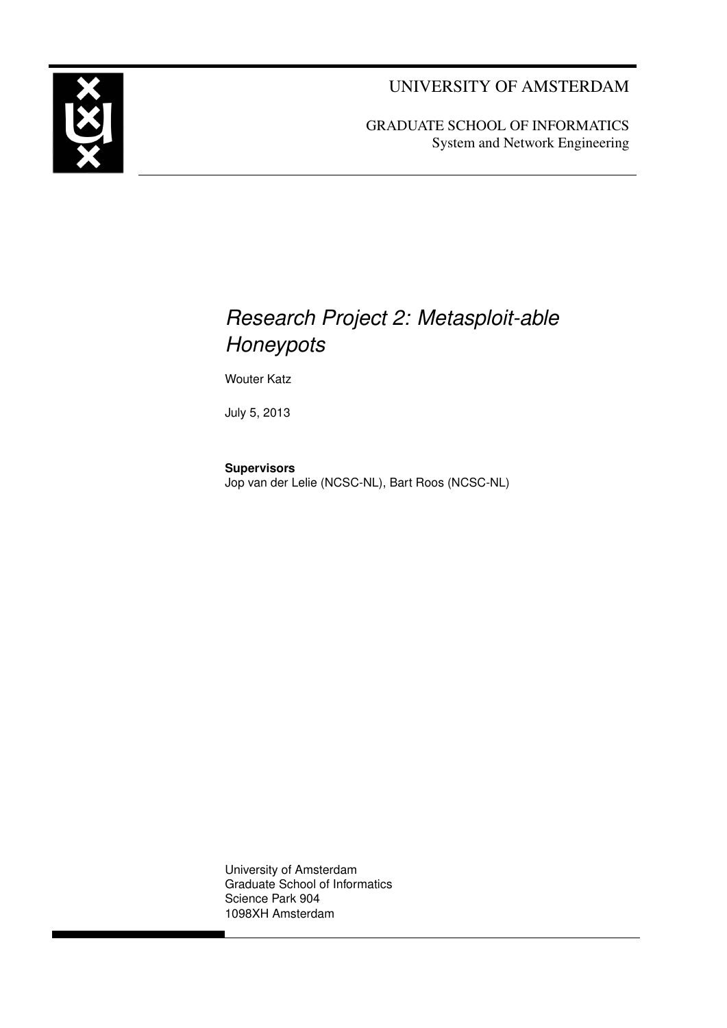UNIVERSITY OF AMSTERDAM



### *Research Project 2: Metasploit-able Honeypots*

Wouter Katz

July 5, 2013

**Supervisors** Jop van der Lelie (NCSC-NL), Bart Roos (NCSC-NL)

University of Amsterdam Graduate School of Informatics Science Park 904 1098XH Amsterdam

<span id="page-0-0"></span>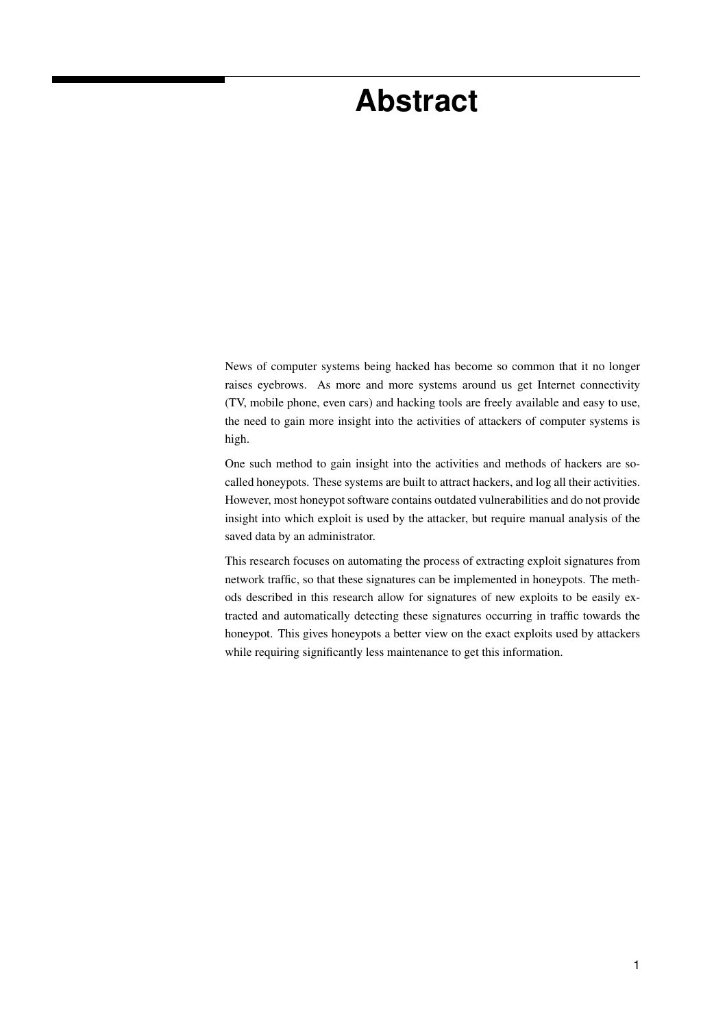### **Abstract**

News of computer systems being hacked has become so common that it no longer raises eyebrows. As more and more systems around us get Internet connectivity (TV, mobile phone, even cars) and hacking tools are freely available and easy to use, the need to gain more insight into the activities of attackers of computer systems is high.

One such method to gain insight into the activities and methods of hackers are socalled honeypots. These systems are built to attract hackers, and log all their activities. However, most honeypot software contains outdated vulnerabilities and do not provide insight into which exploit is used by the attacker, but require manual analysis of the saved data by an administrator.

This research focuses on automating the process of extracting exploit signatures from network traffic, so that these signatures can be implemented in honeypots. The methods described in this research allow for signatures of new exploits to be easily extracted and automatically detecting these signatures occurring in traffic towards the honeypot. This gives honeypots a better view on the exact exploits used by attackers while requiring significantly less maintenance to get this information.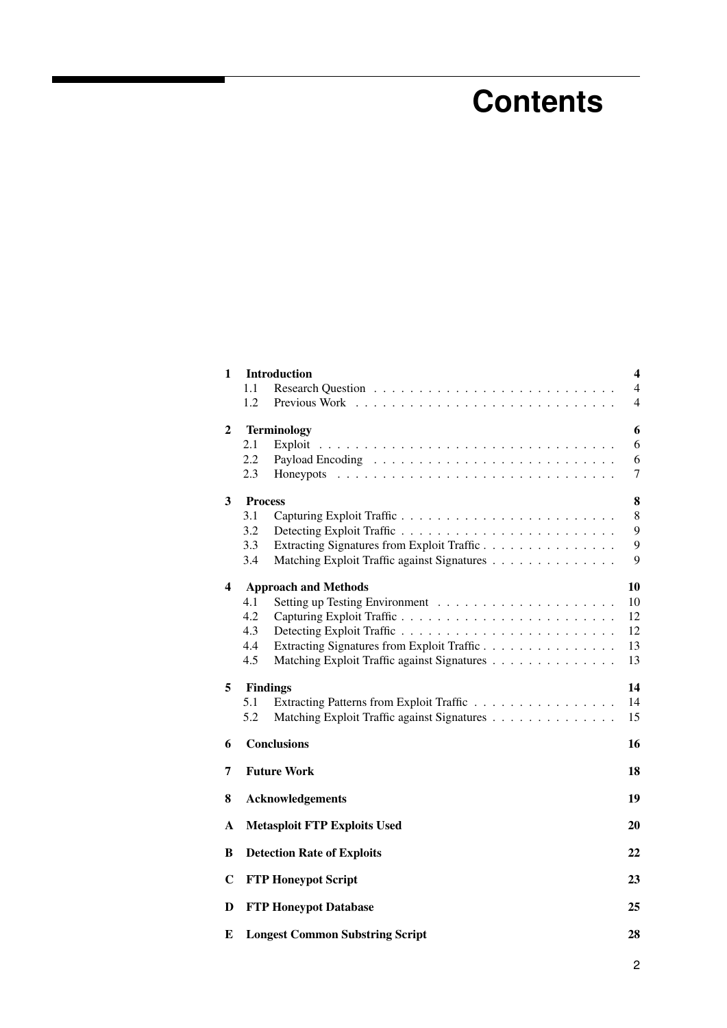## **Contents**

|     |                                             | $\overline{\mathbf{4}}$                                                                                                                                                                                                                                                                                                                                                                                                 |
|-----|---------------------------------------------|-------------------------------------------------------------------------------------------------------------------------------------------------------------------------------------------------------------------------------------------------------------------------------------------------------------------------------------------------------------------------------------------------------------------------|
| 1.1 |                                             | $\overline{4}$                                                                                                                                                                                                                                                                                                                                                                                                          |
| 1.2 |                                             | $\overline{4}$                                                                                                                                                                                                                                                                                                                                                                                                          |
|     |                                             | 6                                                                                                                                                                                                                                                                                                                                                                                                                       |
| 2.1 | Exploit                                     | 6                                                                                                                                                                                                                                                                                                                                                                                                                       |
| 2.2 |                                             | 6                                                                                                                                                                                                                                                                                                                                                                                                                       |
| 2.3 | Honeypots                                   | 7                                                                                                                                                                                                                                                                                                                                                                                                                       |
|     |                                             | 8                                                                                                                                                                                                                                                                                                                                                                                                                       |
| 3.1 | Capturing Exploit Traffic                   | 8                                                                                                                                                                                                                                                                                                                                                                                                                       |
| 3.2 |                                             | 9                                                                                                                                                                                                                                                                                                                                                                                                                       |
| 3.3 | Extracting Signatures from Exploit Traffic  | 9                                                                                                                                                                                                                                                                                                                                                                                                                       |
| 3.4 |                                             | 9                                                                                                                                                                                                                                                                                                                                                                                                                       |
|     |                                             | 10                                                                                                                                                                                                                                                                                                                                                                                                                      |
| 4.1 |                                             | 10                                                                                                                                                                                                                                                                                                                                                                                                                      |
| 4.2 | Capturing Exploit Traffic                   | 12                                                                                                                                                                                                                                                                                                                                                                                                                      |
| 4.3 |                                             | 12                                                                                                                                                                                                                                                                                                                                                                                                                      |
| 4.4 | Extracting Signatures from Exploit Traffic  | 13                                                                                                                                                                                                                                                                                                                                                                                                                      |
| 4.5 | Matching Exploit Traffic against Signatures | 13                                                                                                                                                                                                                                                                                                                                                                                                                      |
|     |                                             | 14                                                                                                                                                                                                                                                                                                                                                                                                                      |
| 5.1 | Extracting Patterns from Exploit Traffic    | 14                                                                                                                                                                                                                                                                                                                                                                                                                      |
| 5.2 | Matching Exploit Traffic against Signatures | 15                                                                                                                                                                                                                                                                                                                                                                                                                      |
|     |                                             | 16                                                                                                                                                                                                                                                                                                                                                                                                                      |
|     |                                             | 18                                                                                                                                                                                                                                                                                                                                                                                                                      |
|     |                                             | 19                                                                                                                                                                                                                                                                                                                                                                                                                      |
|     |                                             | 20                                                                                                                                                                                                                                                                                                                                                                                                                      |
|     |                                             | 22                                                                                                                                                                                                                                                                                                                                                                                                                      |
|     |                                             | 23                                                                                                                                                                                                                                                                                                                                                                                                                      |
|     |                                             | 25                                                                                                                                                                                                                                                                                                                                                                                                                      |
|     |                                             | 28                                                                                                                                                                                                                                                                                                                                                                                                                      |
|     |                                             | <b>Introduction</b><br><b>Terminology</b><br><b>Process</b><br>Matching Exploit Traffic against Signatures<br><b>Approach and Methods</b><br><b>Findings</b><br><b>Conclusions</b><br><b>Future Work</b><br><b>Acknowledgements</b><br><b>Metasploit FTP Exploits Used</b><br><b>Detection Rate of Exploits</b><br><b>FTP Honeypot Script</b><br><b>FTP Honeypot Database</b><br><b>Longest Common Substring Script</b> |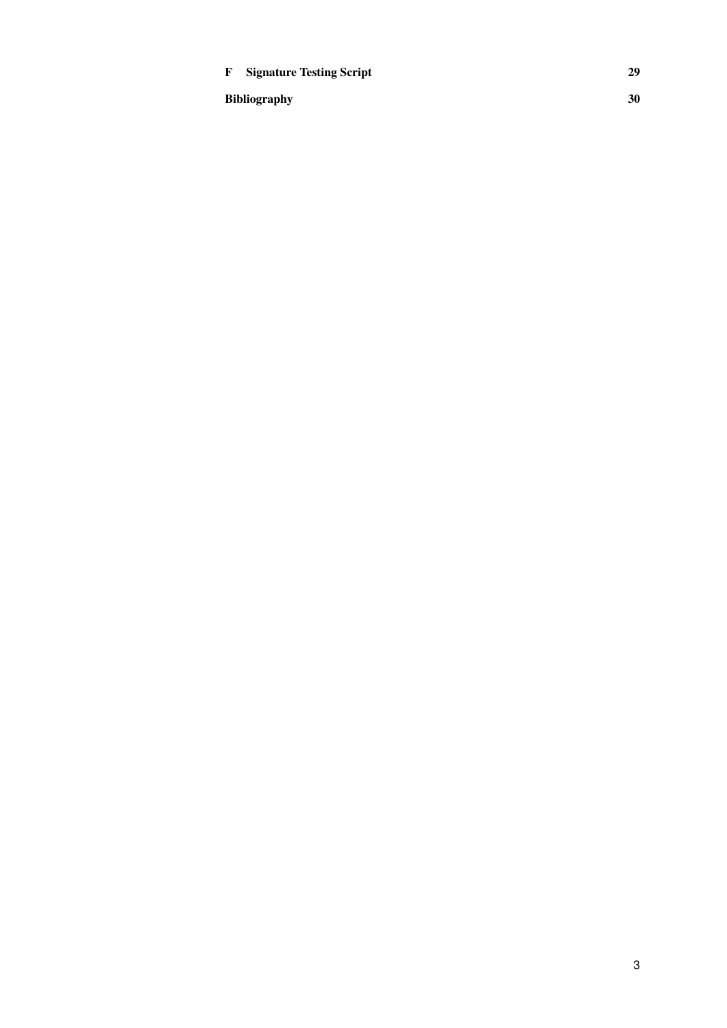#### F Signature Testing Script [29](#page-29-0)

Bibliography [30](#page-30-0)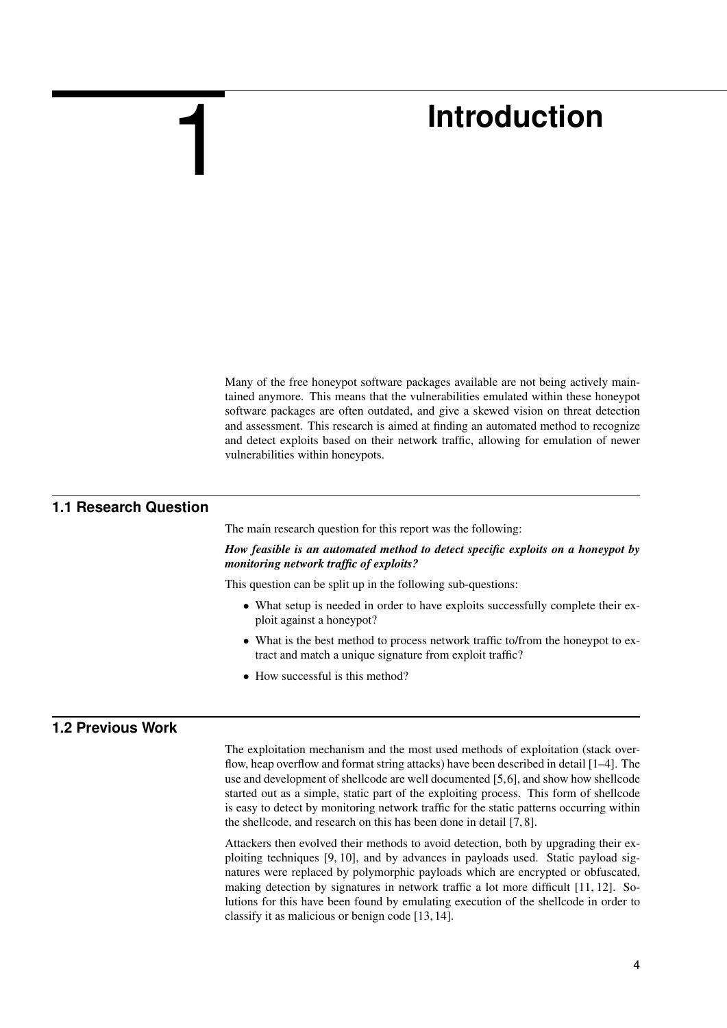## **Introduction**

Many of the free honeypot software packages available are not being actively maintained anymore. This means that the vulnerabilities emulated within these honeypot software packages are often outdated, and give a skewed vision on threat detection and assessment. This research is aimed at finding an automated method to recognize and detect exploits based on their network traffic, allowing for emulation of newer vulnerabilities within honeypots.

#### **1.1 Research Question**

<span id="page-4-0"></span>1

<span id="page-4-1"></span>The main research question for this report was the following:

*How feasible is an automated method to detect specific exploits on a honeypot by monitoring network traffic of exploits?*

This question can be split up in the following sub-questions:

- What setup is needed in order to have exploits successfully complete their exploit against a honeypot?
- What is the best method to process network traffic to/from the honeypot to extract and match a unique signature from exploit traffic?
- <span id="page-4-2"></span>• How successful is this method?

#### **1.2 Previous Work**

The exploitation mechanism and the most used methods of exploitation (stack overflow, heap overflow and format string attacks) have been described in detail [\[1](#page-30-1)[–4\]](#page-30-2). The use and development of shellcode are well documented [\[5,](#page-30-3)[6\]](#page-30-4), and show how shellcode started out as a simple, static part of the exploiting process. This form of shellcode is easy to detect by monitoring network traffic for the static patterns occurring within the shellcode, and research on this has been done in detail [\[7,](#page-30-5) [8\]](#page-30-6).

Attackers then evolved their methods to avoid detection, both by upgrading their exploiting techniques [\[9,](#page-30-7) [10\]](#page-30-8), and by advances in payloads used. Static payload signatures were replaced by polymorphic payloads which are encrypted or obfuscated, making detection by signatures in network traffic a lot more difficult [\[11,](#page-30-9) [12\]](#page-30-10). Solutions for this have been found by emulating execution of the shellcode in order to classify it as malicious or benign code [\[13,](#page-30-11) [14\]](#page-30-12).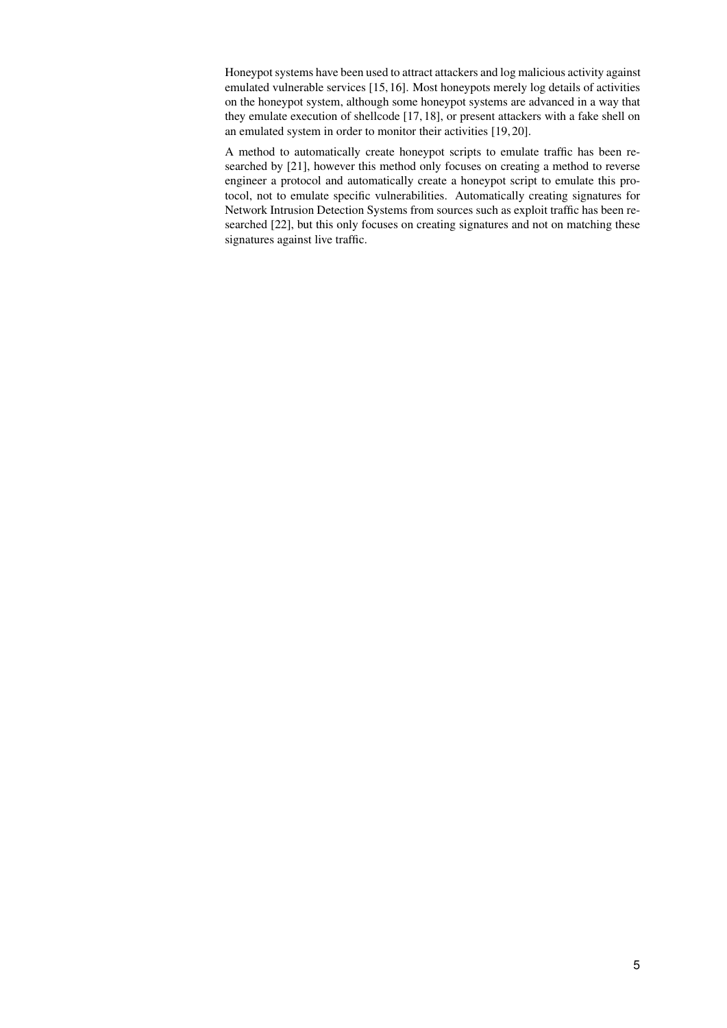Honeypot systems have been used to attract attackers and log malicious activity against emulated vulnerable services [\[15,](#page-31-0)[16\]](#page-31-1). Most honeypots merely log details of activities on the honeypot system, although some honeypot systems are advanced in a way that they emulate execution of shellcode [\[17,](#page-31-2) [18\]](#page-31-3), or present attackers with a fake shell on an emulated system in order to monitor their activities [\[19,](#page-31-4) [20\]](#page-31-5).

A method to automatically create honeypot scripts to emulate traffic has been researched by [\[21\]](#page-31-6), however this method only focuses on creating a method to reverse engineer a protocol and automatically create a honeypot script to emulate this protocol, not to emulate specific vulnerabilities. Automatically creating signatures for Network Intrusion Detection Systems from sources such as exploit traffic has been researched [\[22\]](#page-31-7), but this only focuses on creating signatures and not on matching these signatures against live traffic.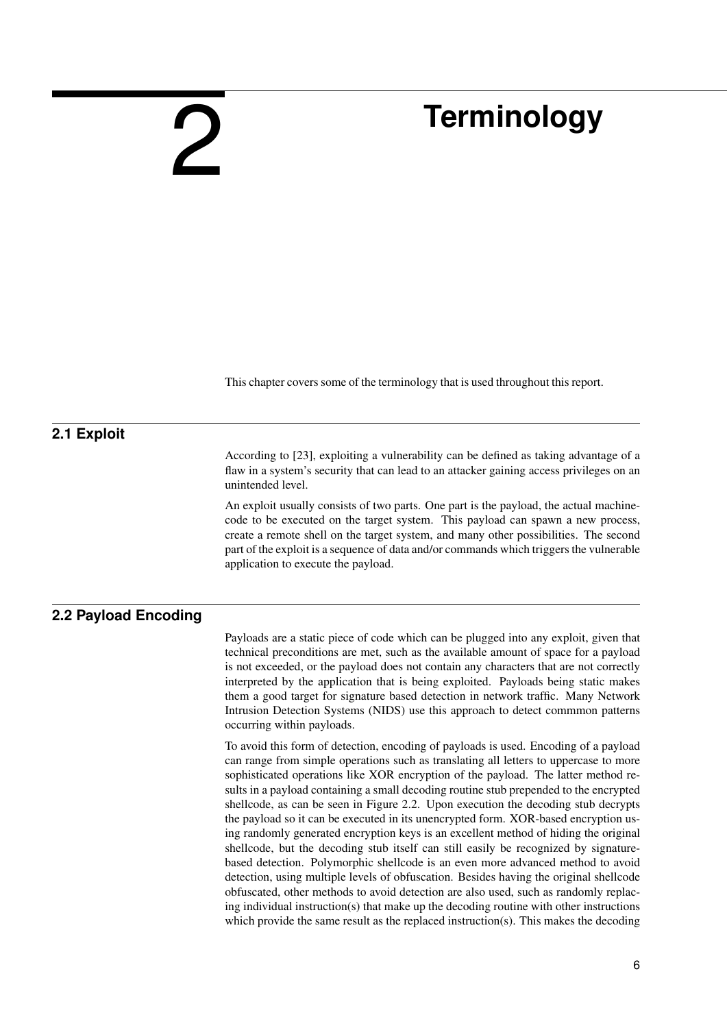## **Terminology**

<span id="page-6-1"></span>This chapter covers some of the terminology that is used throughout this report.

#### **2.1 Exploit**

According to [\[23\]](#page-31-8), exploiting a vulnerability can be defined as taking advantage of a flaw in a system's security that can lead to an attacker gaining access privileges on an unintended level.

An exploit usually consists of two parts. One part is the payload, the actual machinecode to be executed on the target system. This payload can spawn a new process, create a remote shell on the target system, and many other possibilities. The second part of the exploit is a sequence of data and/or commands which triggers the vulnerable application to execute the payload.

#### **2.2 Payload Encoding**

<span id="page-6-0"></span>2

<span id="page-6-2"></span>Payloads are a static piece of code which can be plugged into any exploit, given that technical preconditions are met, such as the available amount of space for a payload is not exceeded, or the payload does not contain any characters that are not correctly interpreted by the application that is being exploited. Payloads being static makes them a good target for signature based detection in network traffic. Many Network Intrusion Detection Systems (NIDS) use this approach to detect commmon patterns occurring within payloads.

To avoid this form of detection, encoding of payloads is used. Encoding of a payload can range from simple operations such as translating all letters to uppercase to more sophisticated operations like XOR encryption of the payload. The latter method results in a payload containing a small decoding routine stub prepended to the encrypted shellcode, as can be seen in Figure [2.2.](#page-6-2) Upon execution the decoding stub decrypts the payload so it can be executed in its unencrypted form. XOR-based encryption using randomly generated encryption keys is an excellent method of hiding the original shellcode, but the decoding stub itself can still easily be recognized by signaturebased detection. Polymorphic shellcode is an even more advanced method to avoid detection, using multiple levels of obfuscation. Besides having the original shellcode obfuscated, other methods to avoid detection are also used, such as randomly replacing individual instruction(s) that make up the decoding routine with other instructions which provide the same result as the replaced instruction(s). This makes the decoding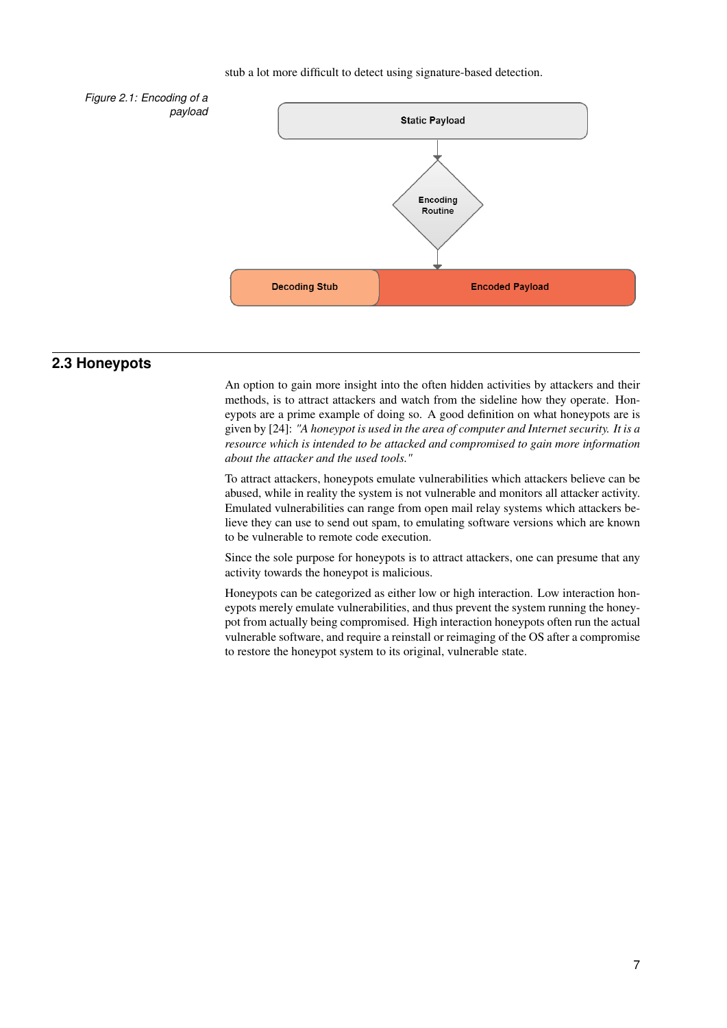#### stub a lot more difficult to detect using signature-based detection.



#### **2.3 Honeypots**

<span id="page-7-0"></span>An option to gain more insight into the often hidden activities by attackers and their methods, is to attract attackers and watch from the sideline how they operate. Honeypots are a prime example of doing so. A good definition on what honeypots are is given by [\[24\]](#page-31-9): *"A honeypot is used in the area of computer and Internet security. It is a resource which is intended to be attacked and compromised to gain more information about the attacker and the used tools."*

To attract attackers, honeypots emulate vulnerabilities which attackers believe can be abused, while in reality the system is not vulnerable and monitors all attacker activity. Emulated vulnerabilities can range from open mail relay systems which attackers believe they can use to send out spam, to emulating software versions which are known to be vulnerable to remote code execution.

Since the sole purpose for honeypots is to attract attackers, one can presume that any activity towards the honeypot is malicious.

Honeypots can be categorized as either low or high interaction. Low interaction honeypots merely emulate vulnerabilities, and thus prevent the system running the honeypot from actually being compromised. High interaction honeypots often run the actual vulnerable software, and require a reinstall or reimaging of the OS after a compromise to restore the honeypot system to its original, vulnerable state.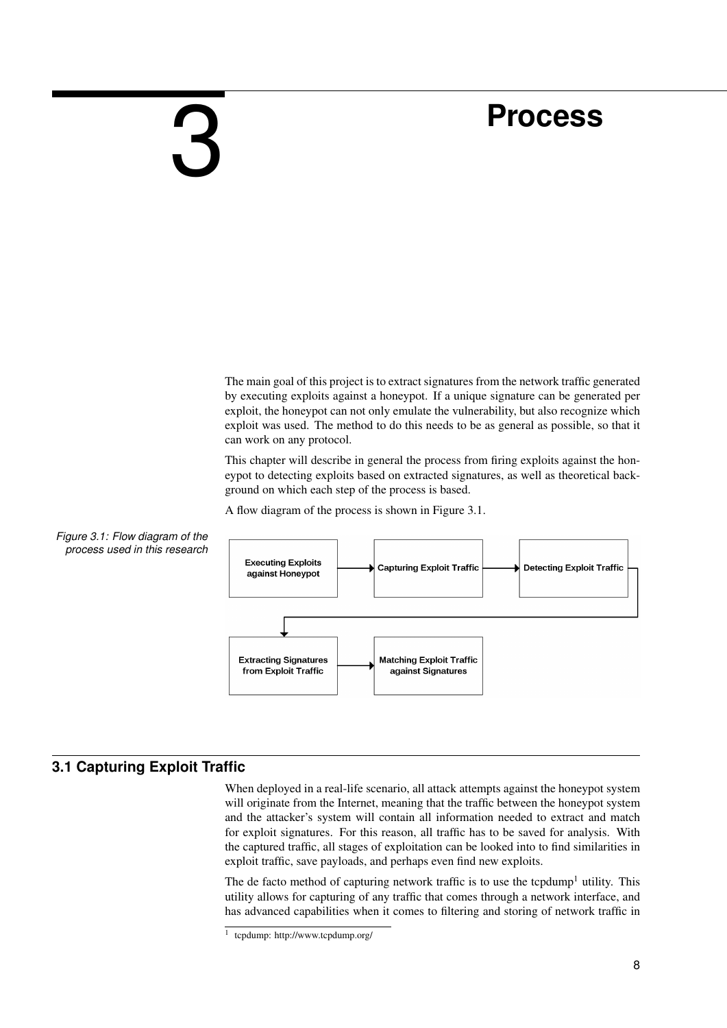### **Process**

<span id="page-8-0"></span>3

The main goal of this project is to extract signatures from the network traffic generated by executing exploits against a honeypot. If a unique signature can be generated per exploit, the honeypot can not only emulate the vulnerability, but also recognize which exploit was used. The method to do this needs to be as general as possible, so that it can work on any protocol.

This chapter will describe in general the process from firing exploits against the honeypot to detecting exploits based on extracted signatures, as well as theoretical background on which each step of the process is based.

A flow diagram of the process is shown in Figure [3.1.](#page-8-2)



<span id="page-8-2"></span>

#### **3.1 Capturing Exploit Traffic**

<span id="page-8-1"></span>When deployed in a real-life scenario, all attack attempts against the honeypot system will originate from the Internet, meaning that the traffic between the honeypot system and the attacker's system will contain all information needed to extract and match for exploit signatures. For this reason, all traffic has to be saved for analysis. With the captured traffic, all stages of exploitation can be looked into to find similarities in exploit traffic, save payloads, and perhaps even find new exploits.

The de facto method of capturing network traffic is to use the tcpdump<sup>[1](#page-0-0)</sup> utility. This utility allows for capturing of any traffic that comes through a network interface, and has advanced capabilities when it comes to filtering and storing of network traffic in

<sup>1</sup> tcpdump: http://www.tcpdump.org/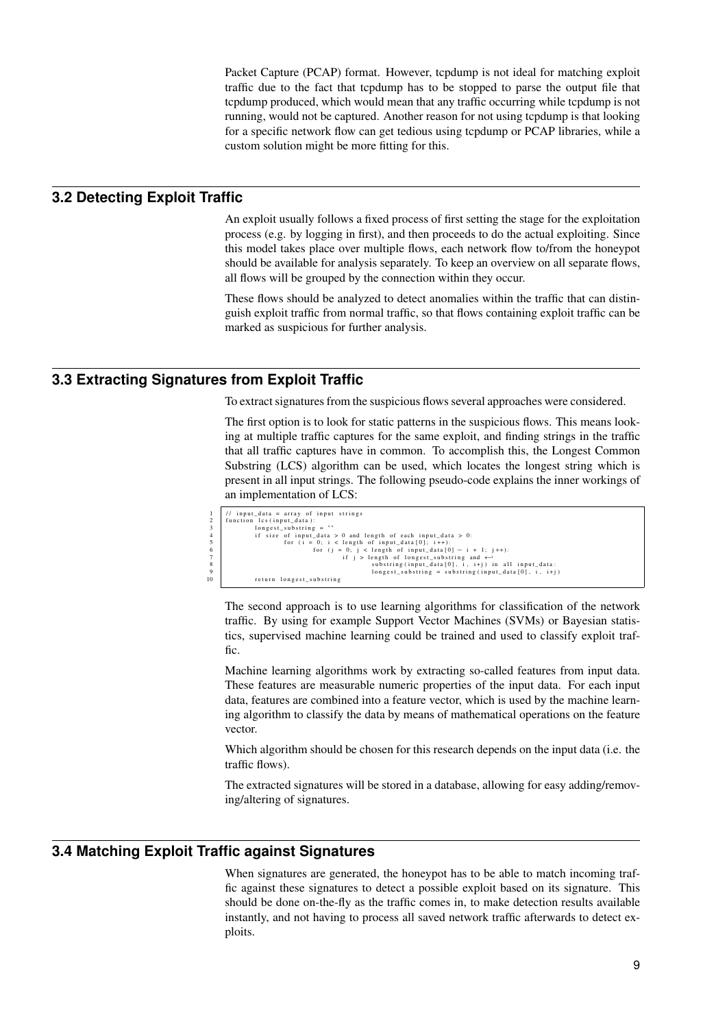Packet Capture (PCAP) format. However, tcpdump is not ideal for matching exploit traffic due to the fact that tcpdump has to be stopped to parse the output file that tcpdump produced, which would mean that any traffic occurring while tcpdump is not running, would not be captured. Another reason for not using tcpdump is that looking for a specific network flow can get tedious using tcpdump or PCAP libraries, while a custom solution might be more fitting for this.

#### **3.2 Detecting Exploit Traffic**

<span id="page-9-0"></span>An exploit usually follows a fixed process of first setting the stage for the exploitation process (e.g. by logging in first), and then proceeds to do the actual exploiting. Since this model takes place over multiple flows, each network flow to/from the honeypot should be available for analysis separately. To keep an overview on all separate flows, all flows will be grouped by the connection within they occur.

<span id="page-9-1"></span>These flows should be analyzed to detect anomalies within the traffic that can distinguish exploit traffic from normal traffic, so that flows containing exploit traffic can be marked as suspicious for further analysis.

#### **3.3 Extracting Signatures from Exploit Traffic**

To extract signatures from the suspicious flows several approaches were considered.

The first option is to look for static patterns in the suspicious flows. This means looking at multiple traffic captures for the same exploit, and finding strings in the traffic that all traffic captures have in common. To accomplish this, the Longest Common Substring (LCS) algorithm can be used, which locates the longest string which is present in all input strings. The following pseudo-code explains the inner workings of an implementation of LCS:

|                 | $\frac{1}{\sqrt{2}}$ input data = array of input strings          |
|-----------------|-------------------------------------------------------------------|
| 2               | function lcs (input data):                                        |
| 3               | longest substring $=$ ""                                          |
| $\overline{4}$  | if size of input data $> 0$ and length of each input data $> 0$ : |
| -5              | for $(i = 0; i <$ length of input data $[0]; i++)$ :              |
| 6               | for $(j = 0; j <$ length of input_data $[0] - i + 1; j++)$ :      |
| $7\overline{ }$ | if $j >$ length of longest substring and $\leftrightarrow$        |
| 8               | substring (input_data [0], i, i+j) in all input_data:             |
| 9               | longest substring = substring (input data [0], i, i+j)            |
| 10              | return longest substring                                          |
|                 |                                                                   |

The second approach is to use learning algorithms for classification of the network traffic. By using for example Support Vector Machines (SVMs) or Bayesian statistics, supervised machine learning could be trained and used to classify exploit traffic.

Machine learning algorithms work by extracting so-called features from input data. These features are measurable numeric properties of the input data. For each input data, features are combined into a feature vector, which is used by the machine learning algorithm to classify the data by means of mathematical operations on the feature vector.

Which algorithm should be chosen for this research depends on the input data (i.e. the traffic flows).

<span id="page-9-2"></span>The extracted signatures will be stored in a database, allowing for easy adding/removing/altering of signatures.

#### **3.4 Matching Exploit Traffic against Signatures**

When signatures are generated, the honeypot has to be able to match incoming traffic against these signatures to detect a possible exploit based on its signature. This should be done on-the-fly as the traffic comes in, to make detection results available instantly, and not having to process all saved network traffic afterwards to detect exploits.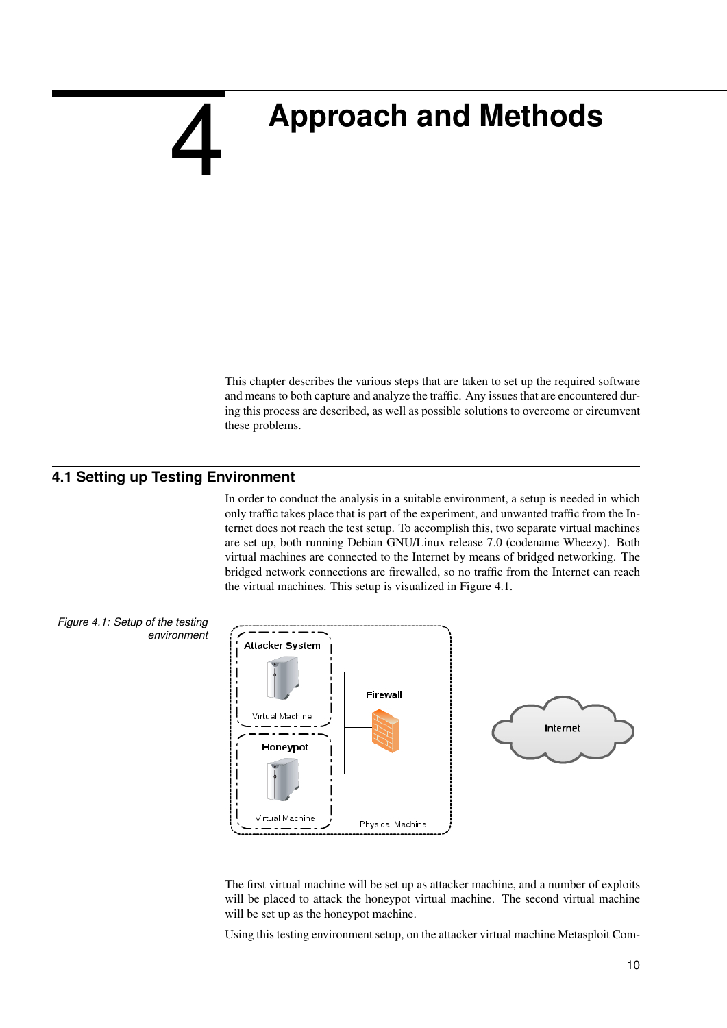## <span id="page-10-0"></span>**Approach and Methods**

<span id="page-10-1"></span>This chapter describes the various steps that are taken to set up the required software and means to both capture and analyze the traffic. Any issues that are encountered during this process are described, as well as possible solutions to overcome or circumvent these problems.

#### **4.1 Setting up Testing Environment**

4

In order to conduct the analysis in a suitable environment, a setup is needed in which only traffic takes place that is part of the experiment, and unwanted traffic from the Internet does not reach the test setup. To accomplish this, two separate virtual machines are set up, both running Debian GNU/Linux release 7.0 (codename Wheezy). Both virtual machines are connected to the Internet by means of bridged networking. The bridged network connections are firewalled, so no traffic from the Internet can reach the virtual machines. This setup is visualized in Figure [4.1.](#page-10-2)



The first virtual machine will be set up as attacker machine, and a number of exploits will be placed to attack the honeypot virtual machine. The second virtual machine will be set up as the honeypot machine.

Using this testing environment setup, on the attacker virtual machine Metasploit Com-

<span id="page-10-2"></span>*Figure 4.1: Setup of the testing environment*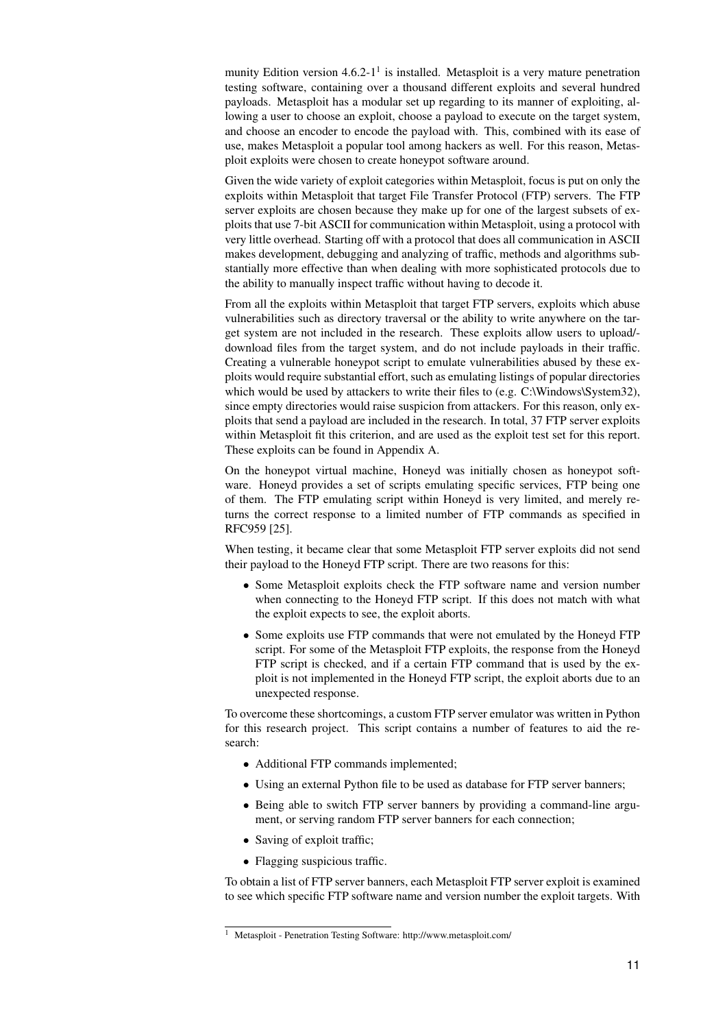munity Edition version  $4.6.2 \cdot 1^{1}$  $4.6.2 \cdot 1^{1}$  $4.6.2 \cdot 1^{1}$  is installed. Metasploit is a very mature penetration testing software, containing over a thousand different exploits and several hundred payloads. Metasploit has a modular set up regarding to its manner of exploiting, allowing a user to choose an exploit, choose a payload to execute on the target system, and choose an encoder to encode the payload with. This, combined with its ease of use, makes Metasploit a popular tool among hackers as well. For this reason, Metasploit exploits were chosen to create honeypot software around.

Given the wide variety of exploit categories within Metasploit, focus is put on only the exploits within Metasploit that target File Transfer Protocol (FTP) servers. The FTP server exploits are chosen because they make up for one of the largest subsets of exploits that use 7-bit ASCII for communication within Metasploit, using a protocol with very little overhead. Starting off with a protocol that does all communication in ASCII makes development, debugging and analyzing of traffic, methods and algorithms substantially more effective than when dealing with more sophisticated protocols due to the ability to manually inspect traffic without having to decode it.

From all the exploits within Metasploit that target FTP servers, exploits which abuse vulnerabilities such as directory traversal or the ability to write anywhere on the target system are not included in the research. These exploits allow users to upload/ download files from the target system, and do not include payloads in their traffic. Creating a vulnerable honeypot script to emulate vulnerabilities abused by these exploits would require substantial effort, such as emulating listings of popular directories which would be used by attackers to write their files to (e.g. C:\Windows\System32), since empty directories would raise suspicion from attackers. For this reason, only exploits that send a payload are included in the research. In total, 37 FTP server exploits within Metasploit fit this criterion, and are used as the exploit test set for this report. These exploits can be found in Appendix [A.](#page-20-0)

On the honeypot virtual machine, Honeyd was initially chosen as honeypot software. Honeyd provides a set of scripts emulating specific services, FTP being one of them. The FTP emulating script within Honeyd is very limited, and merely returns the correct response to a limited number of FTP commands as specified in RFC959 [\[25\]](#page-31-10).

When testing, it became clear that some Metasploit FTP server exploits did not send their payload to the Honeyd FTP script. There are two reasons for this:

- Some Metasploit exploits check the FTP software name and version number when connecting to the Honeyd FTP script. If this does not match with what the exploit expects to see, the exploit aborts.
- Some exploits use FTP commands that were not emulated by the Honeyd FTP script. For some of the Metasploit FTP exploits, the response from the Honeyd FTP script is checked, and if a certain FTP command that is used by the exploit is not implemented in the Honeyd FTP script, the exploit aborts due to an unexpected response.

To overcome these shortcomings, a custom FTP server emulator was written in Python for this research project. This script contains a number of features to aid the research:

- Additional FTP commands implemented;
- Using an external Python file to be used as database for FTP server banners;
- Being able to switch FTP server banners by providing a command-line argument, or serving random FTP server banners for each connection;
- Saving of exploit traffic;
- Flagging suspicious traffic.

To obtain a list of FTP server banners, each Metasploit FTP server exploit is examined to see which specific FTP software name and version number the exploit targets. With

<sup>1</sup> Metasploit - Penetration Testing Software: http://www.metasploit.com/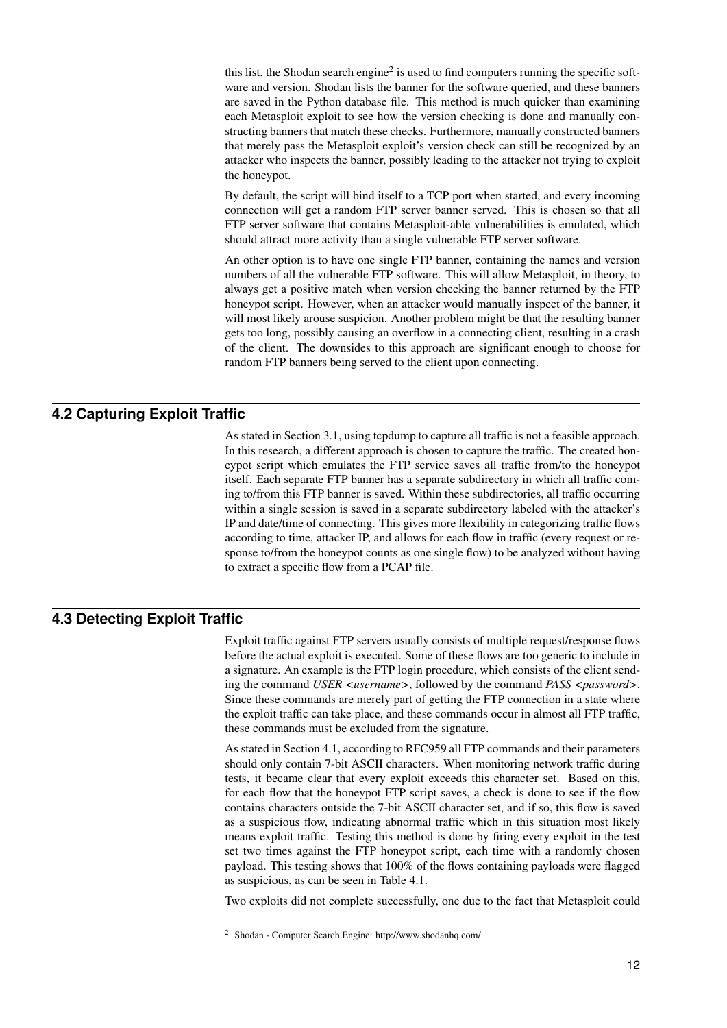this list, the Shodan search engine<sup>[2](#page-0-0)</sup> is used to find computers running the specific software and version. Shodan lists the banner for the software queried, and these banners are saved in the Python database file. This method is much quicker than examining each Metasploit exploit to see how the version checking is done and manually constructing banners that match these checks. Furthermore, manually constructed banners that merely pass the Metasploit exploit's version check can still be recognized by an attacker who inspects the banner, possibly leading to the attacker not trying to exploit the honeypot.

By default, the script will bind itself to a TCP port when started, and every incoming connection will get a random FTP server banner served. This is chosen so that all FTP server software that contains Metasploit-able vulnerabilities is emulated, which should attract more activity than a single vulnerable FTP server software.

An other option is to have one single FTP banner, containing the names and version numbers of all the vulnerable FTP software. This will allow Metasploit, in theory, to always get a positive match when version checking the banner returned by the FTP honeypot script. However, when an attacker would manually inspect of the banner, it will most likely arouse suspicion. Another problem might be that the resulting banner gets too long, possibly causing an overflow in a connecting client, resulting in a crash of the client. The downsides to this approach are significant enough to choose for random FTP banners being served to the client upon connecting.

#### **4.2 Capturing Exploit Traffic**

<span id="page-12-0"></span>As stated in Section [3.1,](#page-8-1) using tcpdump to capture all traffic is not a feasible approach. In this research, a different approach is chosen to capture the traffic. The created honeypot script which emulates the FTP service saves all traffic from/to the honeypot itself. Each separate FTP banner has a separate subdirectory in which all traffic coming to/from this FTP banner is saved. Within these subdirectories, all traffic occurring within a single session is saved in a separate subdirectory labeled with the attacker's IP and date/time of connecting. This gives more flexibility in categorizing traffic flows according to time, attacker IP, and allows for each flow in traffic (every request or response to/from the honeypot counts as one single flow) to be analyzed without having to extract a specific flow from a PCAP file.

#### **4.3 Detecting Exploit Traffic**

<span id="page-12-1"></span>Exploit traffic against FTP servers usually consists of multiple request/response flows before the actual exploit is executed. Some of these flows are too generic to include in a signature. An example is the FTP login procedure, which consists of the client sending the command *USER <username>*, followed by the command *PASS <password>*. Since these commands are merely part of getting the FTP connection in a state where the exploit traffic can take place, and these commands occur in almost all FTP traffic, these commands must be excluded from the signature.

As stated in Section [4.1,](#page-10-1) according to RFC959 all FTP commands and their parameters should only contain 7-bit ASCII characters. When monitoring network traffic during tests, it became clear that every exploit exceeds this character set. Based on this, for each flow that the honeypot FTP script saves, a check is done to see if the flow contains characters outside the 7-bit ASCII character set, and if so, this flow is saved as a suspicious flow, indicating abnormal traffic which in this situation most likely means exploit traffic. Testing this method is done by firing every exploit in the test set two times against the FTP honeypot script, each time with a randomly chosen payload. This testing shows that 100% of the flows containing payloads were flagged as suspicious, as can be seen in Table [4.1.](#page-13-2)

Two exploits did not complete successfully, one due to the fact that Metasploit could

<sup>2</sup> Shodan - Computer Search Engine: http://www.shodanhq.com/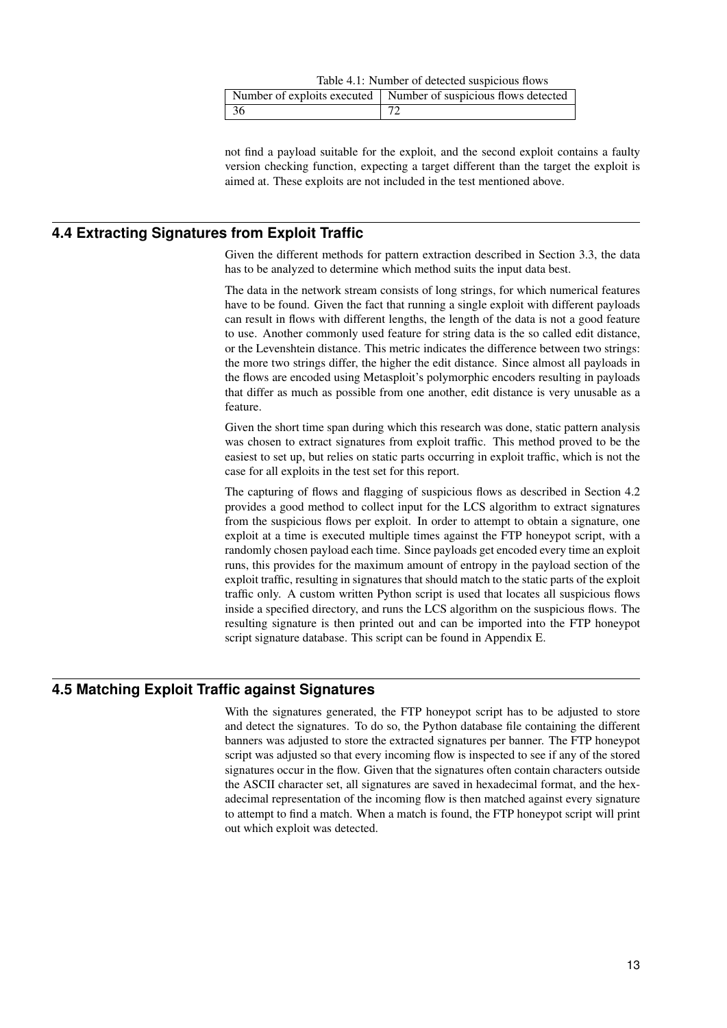<span id="page-13-2"></span>

|     | Table 4.1: Number of detected suspicious flows                    |
|-----|-------------------------------------------------------------------|
|     | Number of exploits executed   Number of suspicious flows detected |
| -36 |                                                                   |

<span id="page-13-0"></span>not find a payload suitable for the exploit, and the second exploit contains a faulty version checking function, expecting a target different than the target the exploit is aimed at. These exploits are not included in the test mentioned above.

#### **4.4 Extracting Signatures from Exploit Traffic**

Given the different methods for pattern extraction described in Section [3.3,](#page-9-1) the data has to be analyzed to determine which method suits the input data best.

The data in the network stream consists of long strings, for which numerical features have to be found. Given the fact that running a single exploit with different payloads can result in flows with different lengths, the length of the data is not a good feature to use. Another commonly used feature for string data is the so called edit distance, or the Levenshtein distance. This metric indicates the difference between two strings: the more two strings differ, the higher the edit distance. Since almost all payloads in the flows are encoded using Metasploit's polymorphic encoders resulting in payloads that differ as much as possible from one another, edit distance is very unusable as a feature.

Given the short time span during which this research was done, static pattern analysis was chosen to extract signatures from exploit traffic. This method proved to be the easiest to set up, but relies on static parts occurring in exploit traffic, which is not the case for all exploits in the test set for this report.

The capturing of flows and flagging of suspicious flows as described in Section [4.2](#page-12-0) provides a good method to collect input for the LCS algorithm to extract signatures from the suspicious flows per exploit. In order to attempt to obtain a signature, one exploit at a time is executed multiple times against the FTP honeypot script, with a randomly chosen payload each time. Since payloads get encoded every time an exploit runs, this provides for the maximum amount of entropy in the payload section of the exploit traffic, resulting in signatures that should match to the static parts of the exploit traffic only. A custom written Python script is used that locates all suspicious flows inside a specified directory, and runs the LCS algorithm on the suspicious flows. The resulting signature is then printed out and can be imported into the FTP honeypot script signature database. This script can be found in Appendix [E.](#page-28-0)

#### **4.5 Matching Exploit Traffic against Signatures**

<span id="page-13-1"></span>With the signatures generated, the FTP honeypot script has to be adjusted to store and detect the signatures. To do so, the Python database file containing the different banners was adjusted to store the extracted signatures per banner. The FTP honeypot script was adjusted so that every incoming flow is inspected to see if any of the stored signatures occur in the flow. Given that the signatures often contain characters outside the ASCII character set, all signatures are saved in hexadecimal format, and the hexadecimal representation of the incoming flow is then matched against every signature to attempt to find a match. When a match is found, the FTP honeypot script will print out which exploit was detected.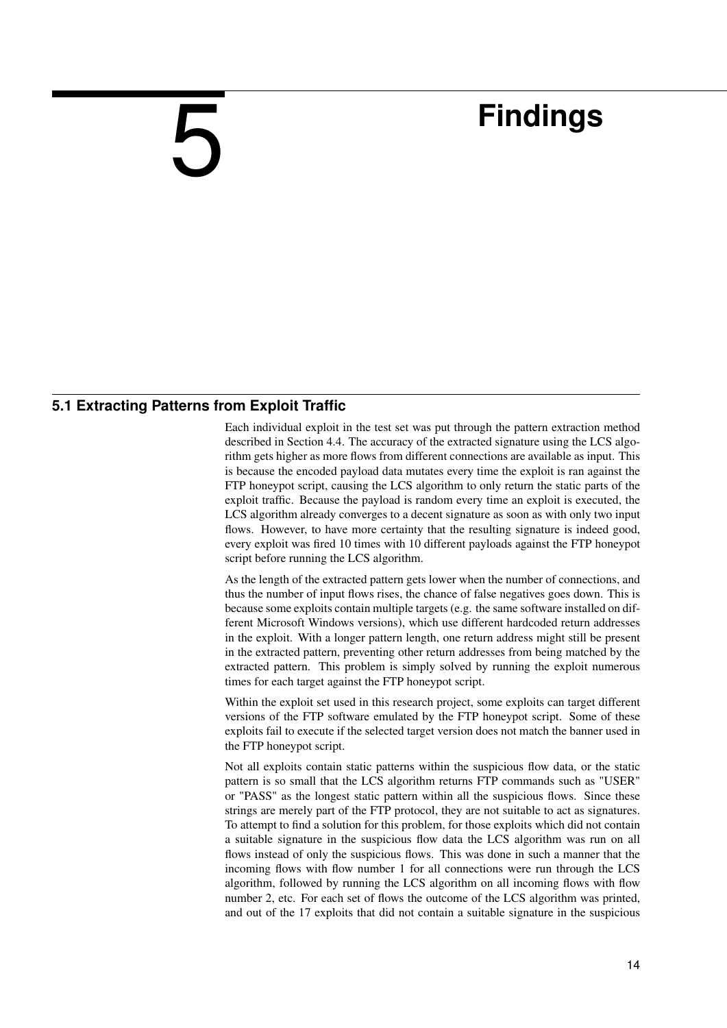## **Findings**

#### **5.1 Extracting Patterns from Exploit Traffic**

<span id="page-14-0"></span>5

<span id="page-14-1"></span>Each individual exploit in the test set was put through the pattern extraction method described in Section [4.4.](#page-13-0) The accuracy of the extracted signature using the LCS algorithm gets higher as more flows from different connections are available as input. This is because the encoded payload data mutates every time the exploit is ran against the FTP honeypot script, causing the LCS algorithm to only return the static parts of the exploit traffic. Because the payload is random every time an exploit is executed, the LCS algorithm already converges to a decent signature as soon as with only two input flows. However, to have more certainty that the resulting signature is indeed good, every exploit was fired 10 times with 10 different payloads against the FTP honeypot script before running the LCS algorithm.

As the length of the extracted pattern gets lower when the number of connections, and thus the number of input flows rises, the chance of false negatives goes down. This is because some exploits contain multiple targets (e.g. the same software installed on different Microsoft Windows versions), which use different hardcoded return addresses in the exploit. With a longer pattern length, one return address might still be present in the extracted pattern, preventing other return addresses from being matched by the extracted pattern. This problem is simply solved by running the exploit numerous times for each target against the FTP honeypot script.

Within the exploit set used in this research project, some exploits can target different versions of the FTP software emulated by the FTP honeypot script. Some of these exploits fail to execute if the selected target version does not match the banner used in the FTP honeypot script.

Not all exploits contain static patterns within the suspicious flow data, or the static pattern is so small that the LCS algorithm returns FTP commands such as "USER" or "PASS" as the longest static pattern within all the suspicious flows. Since these strings are merely part of the FTP protocol, they are not suitable to act as signatures. To attempt to find a solution for this problem, for those exploits which did not contain a suitable signature in the suspicious flow data the LCS algorithm was run on all flows instead of only the suspicious flows. This was done in such a manner that the incoming flows with flow number 1 for all connections were run through the LCS algorithm, followed by running the LCS algorithm on all incoming flows with flow number 2, etc. For each set of flows the outcome of the LCS algorithm was printed, and out of the 17 exploits that did not contain a suitable signature in the suspicious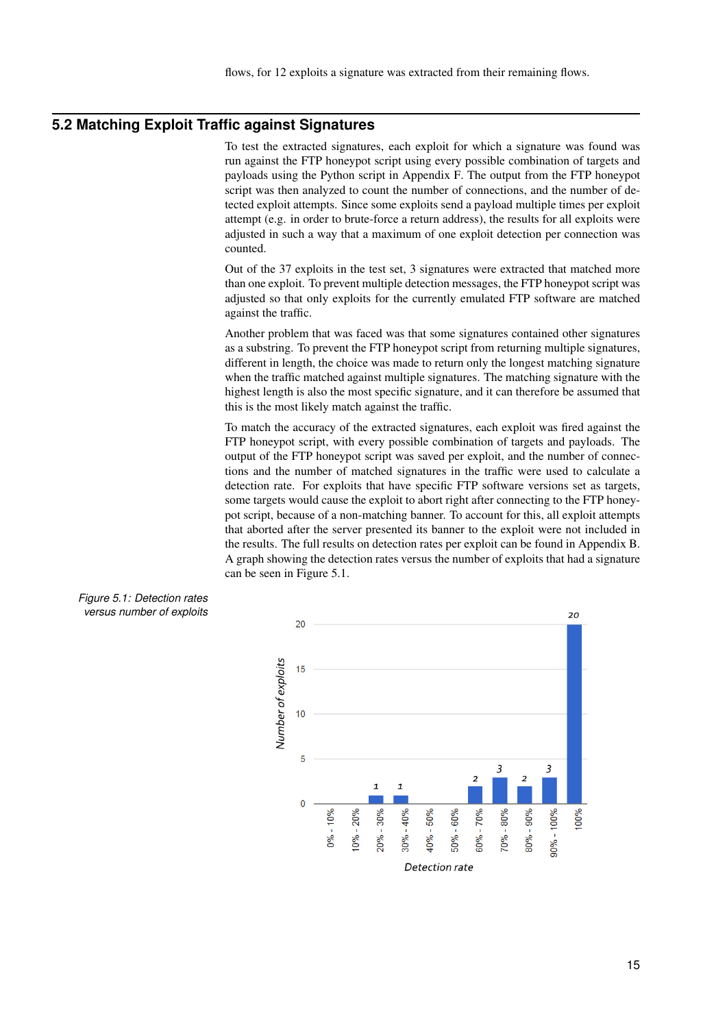#### **5.2 Matching Exploit Traffic against Signatures**

<span id="page-15-0"></span>To test the extracted signatures, each exploit for which a signature was found was run against the FTP honeypot script using every possible combination of targets and payloads using the Python script in Appendix [F.](#page-29-0) The output from the FTP honeypot script was then analyzed to count the number of connections, and the number of detected exploit attempts. Since some exploits send a payload multiple times per exploit attempt (e.g. in order to brute-force a return address), the results for all exploits were adjusted in such a way that a maximum of one exploit detection per connection was counted.

Out of the 37 exploits in the test set, 3 signatures were extracted that matched more than one exploit. To prevent multiple detection messages, the FTP honeypot script was adjusted so that only exploits for the currently emulated FTP software are matched against the traffic.

Another problem that was faced was that some signatures contained other signatures as a substring. To prevent the FTP honeypot script from returning multiple signatures, different in length, the choice was made to return only the longest matching signature when the traffic matched against multiple signatures. The matching signature with the highest length is also the most specific signature, and it can therefore be assumed that this is the most likely match against the traffic.

To match the accuracy of the extracted signatures, each exploit was fired against the FTP honeypot script, with every possible combination of targets and payloads. The output of the FTP honeypot script was saved per exploit, and the number of connections and the number of matched signatures in the traffic were used to calculate a detection rate. For exploits that have specific FTP software versions set as targets, some targets would cause the exploit to abort right after connecting to the FTP honeypot script, because of a non-matching banner. To account for this, all exploit attempts that aborted after the server presented its banner to the exploit were not included in the results. The full results on detection rates per exploit can be found in Appendix [B.](#page-22-0) A graph showing the detection rates versus the number of exploits that had a signature can be seen in Figure [5.1.](#page-15-1)



<span id="page-15-1"></span>*Figure 5.1: Detection rates versus number of exploits*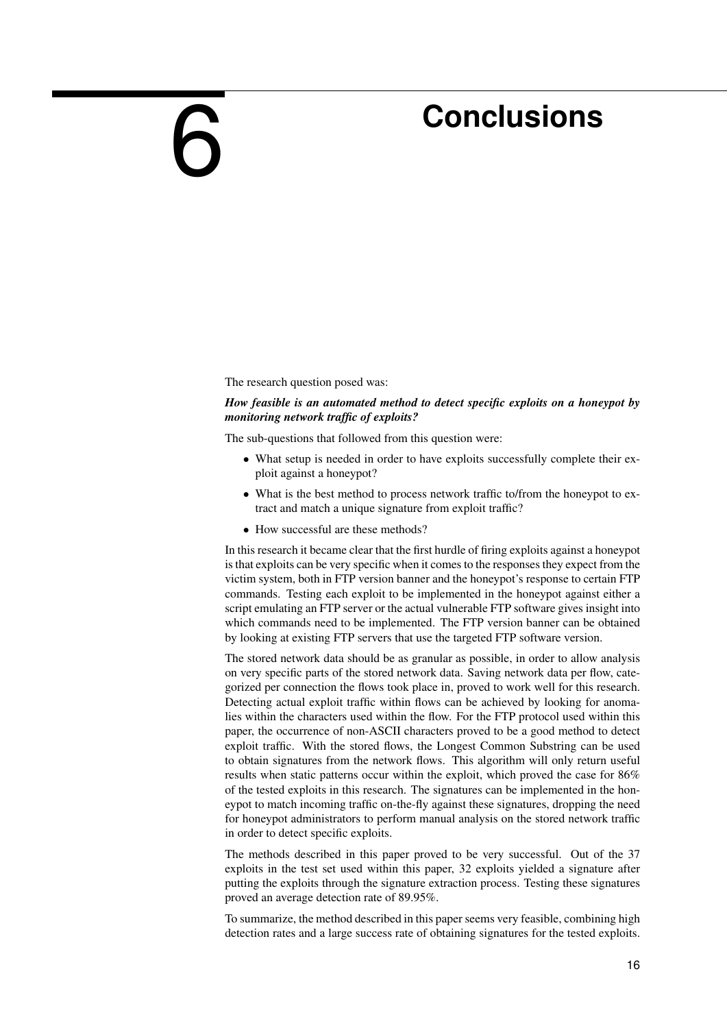## **Conclusions**

The research question posed was:

<span id="page-16-0"></span>6

#### *How feasible is an automated method to detect specific exploits on a honeypot by monitoring network traffic of exploits?*

The sub-questions that followed from this question were:

- What setup is needed in order to have exploits successfully complete their exploit against a honeypot?
- What is the best method to process network traffic to/from the honeypot to extract and match a unique signature from exploit traffic?
- How successful are these methods?

In this research it became clear that the first hurdle of firing exploits against a honeypot is that exploits can be very specific when it comes to the responses they expect from the victim system, both in FTP version banner and the honeypot's response to certain FTP commands. Testing each exploit to be implemented in the honeypot against either a script emulating an FTP server or the actual vulnerable FTP software gives insight into which commands need to be implemented. The FTP version banner can be obtained by looking at existing FTP servers that use the targeted FTP software version.

The stored network data should be as granular as possible, in order to allow analysis on very specific parts of the stored network data. Saving network data per flow, categorized per connection the flows took place in, proved to work well for this research. Detecting actual exploit traffic within flows can be achieved by looking for anomalies within the characters used within the flow. For the FTP protocol used within this paper, the occurrence of non-ASCII characters proved to be a good method to detect exploit traffic. With the stored flows, the Longest Common Substring can be used to obtain signatures from the network flows. This algorithm will only return useful results when static patterns occur within the exploit, which proved the case for 86% of the tested exploits in this research. The signatures can be implemented in the honeypot to match incoming traffic on-the-fly against these signatures, dropping the need for honeypot administrators to perform manual analysis on the stored network traffic in order to detect specific exploits.

The methods described in this paper proved to be very successful. Out of the 37 exploits in the test set used within this paper, 32 exploits yielded a signature after putting the exploits through the signature extraction process. Testing these signatures proved an average detection rate of 89.95%.

To summarize, the method described in this paper seems very feasible, combining high detection rates and a large success rate of obtaining signatures for the tested exploits.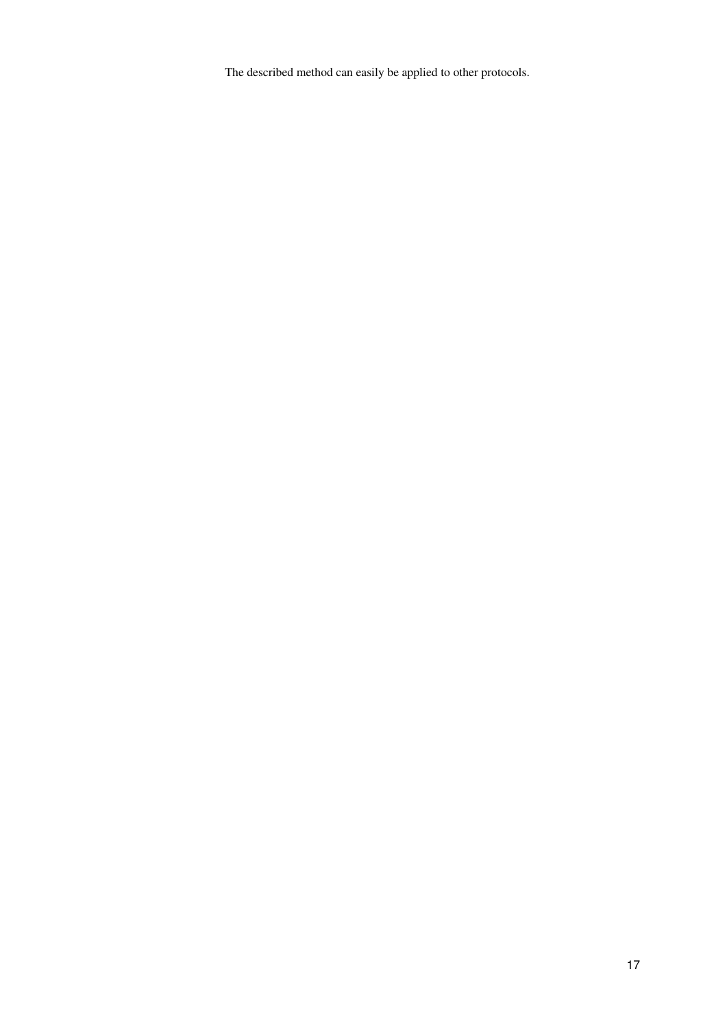The described method can easily be applied to other protocols.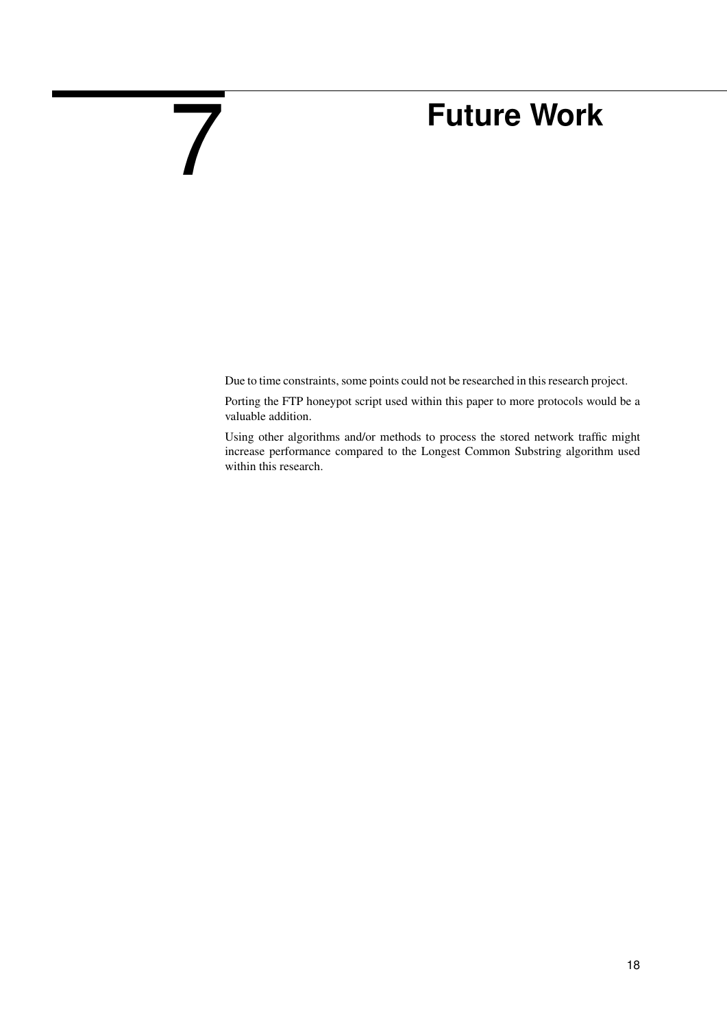## **Future Work**

Due to time constraints, some points could not be researched in this research project.

<span id="page-18-0"></span>7

Porting the FTP honeypot script used within this paper to more protocols would be a valuable addition.

Using other algorithms and/or methods to process the stored network traffic might increase performance compared to the Longest Common Substring algorithm used within this research.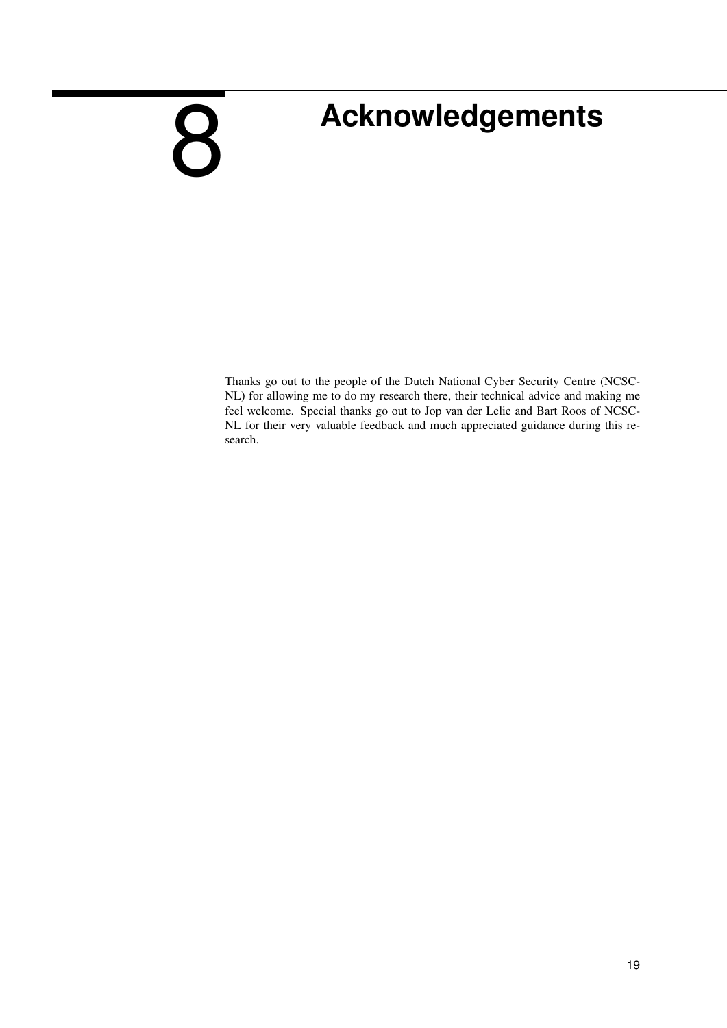## <span id="page-19-0"></span>8

## **Acknowledgements**

Thanks go out to the people of the Dutch National Cyber Security Centre (NCSC-NL) for allowing me to do my research there, their technical advice and making me feel welcome. Special thanks go out to Jop van der Lelie and Bart Roos of NCSC-NL for their very valuable feedback and much appreciated guidance during this research.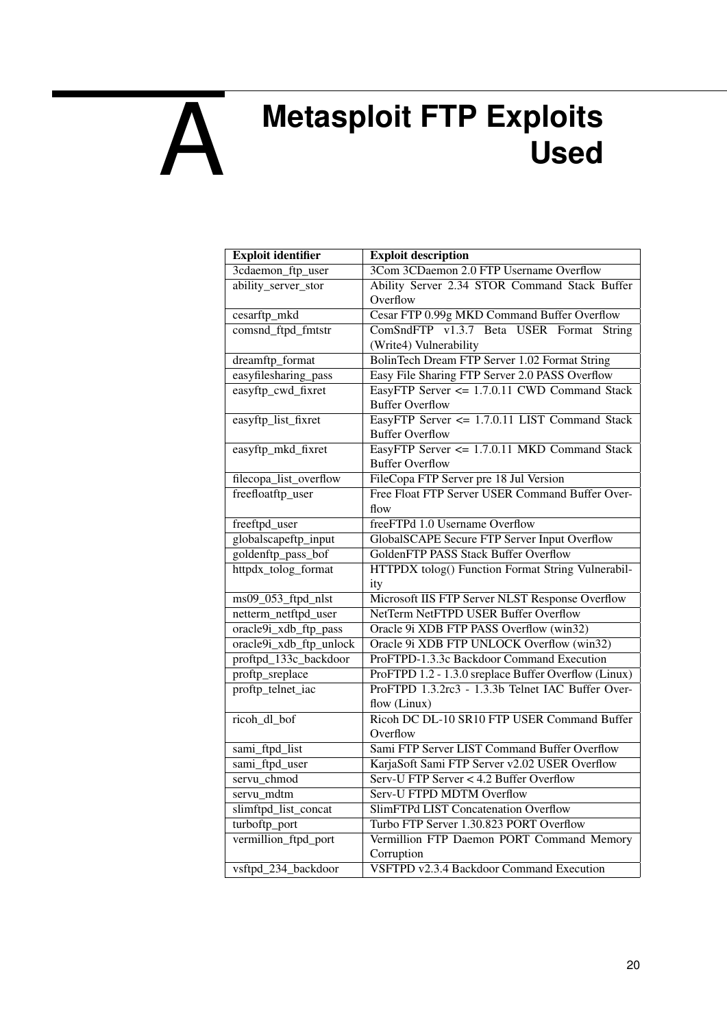## <span id="page-20-0"></span>A **Metasploit FTP Exploits Used**

| <b>Exploit identifier</b> | <b>Exploit description</b>                           |  |
|---------------------------|------------------------------------------------------|--|
| 3cdaemon_ftp_user         | 3Com 3CDaemon 2.0 FTP Username Overflow              |  |
| ability_server_stor       | Ability Server 2.34 STOR Command Stack Buffer        |  |
|                           | Overflow                                             |  |
| cesarftp_mkd              | Cesar FTP 0.99g MKD Command Buffer Overflow          |  |
| comsnd_ftpd_fmtstr        | ComSndFTP v1.3.7 Beta USER Format String             |  |
|                           | (Write4) Vulnerability                               |  |
| dreamftp_format           | BolinTech Dream FTP Server 1.02 Format String        |  |
| easyfilesharing_pass      | Easy File Sharing FTP Server 2.0 PASS Overflow       |  |
| easyftp_cwd_fixret        | EasyFTP Server <= 1.7.0.11 CWD Command Stack         |  |
|                           | <b>Buffer Overflow</b>                               |  |
| easyftp_list_fixret       | EasyFTP Server <= 1.7.0.11 LIST Command Stack        |  |
|                           | <b>Buffer Overflow</b>                               |  |
| easyftp_mkd_fixret        | EasyFTP Server <= 1.7.0.11 MKD Command Stack         |  |
|                           | <b>Buffer Overflow</b>                               |  |
| filecopa_list_overflow    | FileCopa FTP Server pre 18 Jul Version               |  |
| freefloatftp_user         | Free Float FTP Server USER Command Buffer Over-      |  |
|                           | flow                                                 |  |
| freeftpd_user             | freeFTPd 1.0 Username Overflow                       |  |
| globalscapeftp_input      | <b>GlobalSCAPE Secure FTP Server Input Overflow</b>  |  |
| goldenftp_pass_bof        | <b>GoldenFTP PASS Stack Buffer Overflow</b>          |  |
| httpdx_tolog_format       | HTTPDX tolog() Function Format String Vulnerabil-    |  |
|                           | ity                                                  |  |
| ms09_053_ftpd_nlst        | Microsoft IIS FTP Server NLST Response Overflow      |  |
| netterm_netftpd_user      | <b>NetTerm NetFTPD USER Buffer Overflow</b>          |  |
| oracle9i_xdb_ftp_pass     | Oracle 9i XDB FTP PASS Overflow (win32)              |  |
| oracle9i_xdb_ftp_unlock   | Oracle 9i XDB FTP UNLOCK Overflow (win32)            |  |
| proftpd_133c_backdoor     | ProFTPD-1.3.3c Backdoor Command Execution            |  |
| proftp_sreplace           | ProFTPD 1.2 - 1.3.0 sreplace Buffer Overflow (Linux) |  |
| proftp_telnet_iac         | ProFTPD 1.3.2rc3 - 1.3.3b Telnet IAC Buffer Over-    |  |
|                           | flow (Linux)                                         |  |
| ricoh_dl_bof              | Ricoh DC DL-10 SR10 FTP USER Command Buffer          |  |
|                           | Overflow                                             |  |
| sami_ftpd_list            | Sami FTP Server LIST Command Buffer Overflow         |  |
| sami_ftpd_user            | KarjaSoft Sami FTP Server v2.02 USER Overflow        |  |
| servu chmod               | Serv-U FTP Server < 4.2 Buffer Overflow              |  |
| servu_mdtm                | Serv-U FTPD MDTM Overflow                            |  |
| slimftpd_list_concat      | <b>SlimFTPd LIST Concatenation Overflow</b>          |  |
| turboftp_port             | Turbo FTP Server 1.30.823 PORT Overflow              |  |
| vermillion_ftpd_port      | Vermillion FTP Daemon PORT Command Memory            |  |
|                           | Corruption                                           |  |
| vsftpd_234_backdoor       | VSFTPD v2.3.4 Backdoor Command Execution             |  |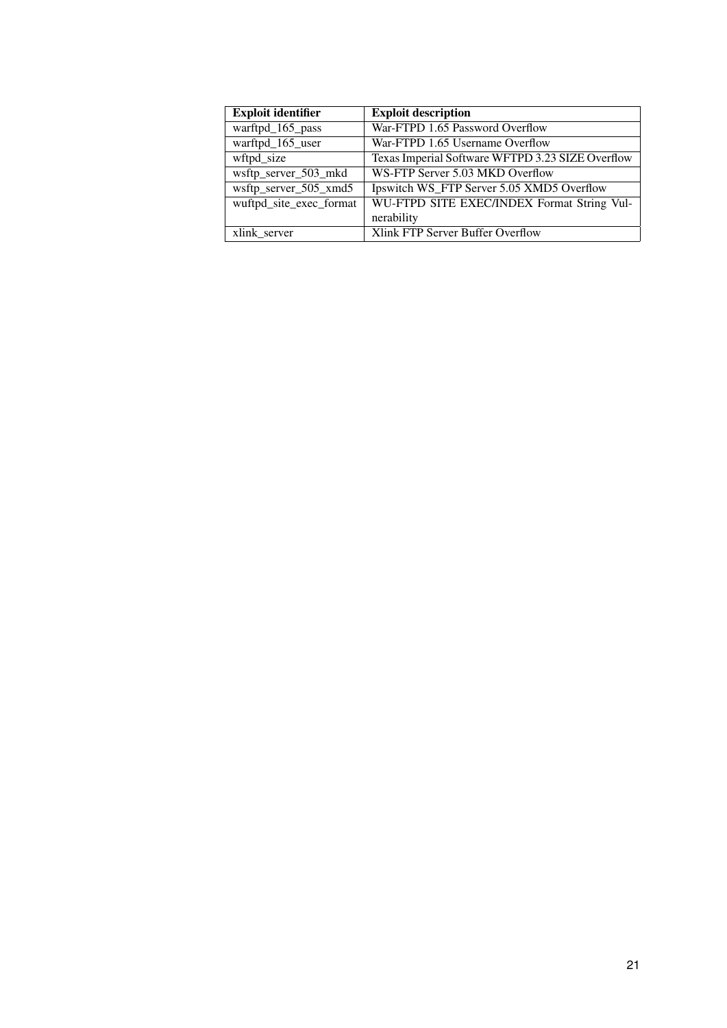| <b>Exploit identifier</b> | <b>Exploit description</b>                       |
|---------------------------|--------------------------------------------------|
| warftpd_165_pass          | War-FTPD 1.65 Password Overflow                  |
| warftpd_165_user          | War-FTPD 1.65 Username Overflow                  |
| wftpd size                | Texas Imperial Software WFTPD 3.23 SIZE Overflow |
| wsftp_server_503_mkd      | WS-FTP Server 5.03 MKD Overflow                  |
| wsftp_server_505_xmd5     | Ipswitch WS_FTP Server 5.05 XMD5 Overflow        |
| wuftpd_site_exec_format   | WU-FTPD SITE EXEC/INDEX Format String Vul-       |
|                           | nerability                                       |
| xlink server              | Xlink FTP Server Buffer Overflow                 |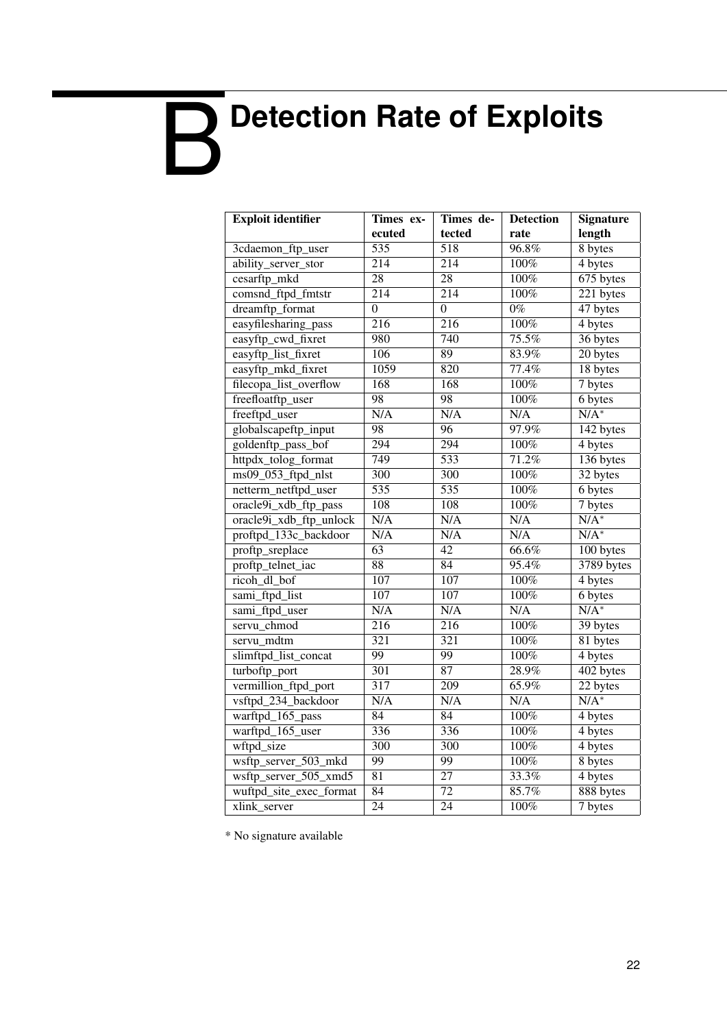# <span id="page-22-0"></span>B **Detection Rate of Exploits**

| <b>Exploit identifier</b> | Times ex-        | Times de-        | <b>Detection</b> | <b>Signature</b>       |
|---------------------------|------------------|------------------|------------------|------------------------|
|                           | ecuted           | tected           | rate             | length                 |
| 3cdaemon_ftp_user         | $\overline{535}$ | 518              | 96.8%            | 8 bytes                |
| ability_server_stor       | $\overline{214}$ | $\overline{214}$ | 100%             | $\overline{4}$ bytes   |
| cesarftp_mkd              | $\overline{28}$  | $\overline{28}$  | 100%             | 675 bytes              |
| comsnd_ftpd_fmtstr        | $\overline{214}$ | 214              | 100%             | $\overline{221}$ bytes |
| dreamftp_format           | $\overline{0}$   | $\overline{0}$   | $0\%$            | 47 bytes               |
| easyfilesharing_pass      | 216              | 216              | 100%             | 4 bytes                |
| easyftp_cwd_fixret        | 980              | 740              | 75.5%            | 36 bytes               |
| easyftp_list_fixret       | 106              | 89               | 83.9%            | $\overline{20}$ bytes  |
| easyftp_mkd_fixret        | 1059             | 820              | 77.4%            | 18 bytes               |
| filecopa_list_overflow    | 168              | 168              | 100%             | 7 bytes                |
| freefloatftp_user         | 98               | 98               | 100%             | 6 bytes                |
| freeftpd_user             | N/A              | N/A              | N/A              | $N/A^*$                |
| globalscapeftp_input      | $\overline{98}$  | $\overline{96}$  | 97.9%            | 142 bytes              |
| goldenftp_pass_bof        | $\overline{294}$ | $\overline{294}$ | 100%             | 4 bytes                |
| httpdx_tolog_format       | 749              | $\overline{533}$ | 71.2%            | $136$ bytes            |
| $ms09_053_ftpd_nlst$      | $\overline{300}$ | $\overline{300}$ | 100%             | 32 bytes               |
| netterm_netftpd_user      | $\overline{535}$ | $\overline{535}$ | 100%             | 6 bytes                |
| oracle9i_xdb_ftp_pass     | $\overline{108}$ | $\overline{108}$ | 100%             | $7$ bytes              |
| oracle9i_xdb_ftp_unlock   | N/A              | N/A              | N/A              | $N/A^*$                |
| proftpd_133c_backdoor     | N/A              | N/A              | N/A              | $N/A^*$                |
| proftp_sreplace           | $\overline{63}$  | $\overline{42}$  | 66.6%            | 100 bytes              |
| proftp_telnet_iac         | $\overline{88}$  | 84               | 95.4%            | 3789 bytes             |
| ricoh_dl_bof              | 107              | $\overline{107}$ | 100%             | 4 bytes                |
| sami_ftpd_list            | 107              | $\overline{107}$ | 100%             | 6 bytes                |
| sami_ftpd_user            | N/A              | N/A              | N/A              | $N/A^*$                |
| servu_chmod               | $\overline{216}$ | $\overline{216}$ | 100%             | 39 bytes               |
| servu mdtm                | $\overline{321}$ | $\overline{321}$ | 100%             | 81 bytes               |
| slimftpd_list_concat      | 99               | 99               | 100%             | 4 bytes                |
| turboftp_port             | 301              | 87               | 28.9%            | 402 bytes              |
| vermillion_ftpd_port      | 317              | 209              | 65.9%            | 22 bytes               |
| vsftpd_234_backdoor       | N/A              | N/A              | N/A              | $N/A^*$                |
| warftpd_165_pass          | 84               | 84               | 100%             | 4 bytes                |
| warftpd_165_user          | 336              | 336              | 100%             | 4 bytes                |
| wftpd_size                | $\overline{300}$ | $\frac{300}{ }$  | 100%             | 4 bytes                |
| wsftp_server_503_mkd      | $\overline{99}$  | $\overline{99}$  | 100%             | 8 bytes                |
| wsftp_server_505_xmd5     | $\overline{81}$  | $\overline{27}$  | 33.3%            | 4 bytes                |
| wuftpd_site_exec_format   | $\overline{84}$  | $\overline{72}$  | 85.7%            | 888 bytes              |
| xlink_server              | $\overline{24}$  | $\overline{24}$  | 100%             | 7 bytes                |

\* No signature available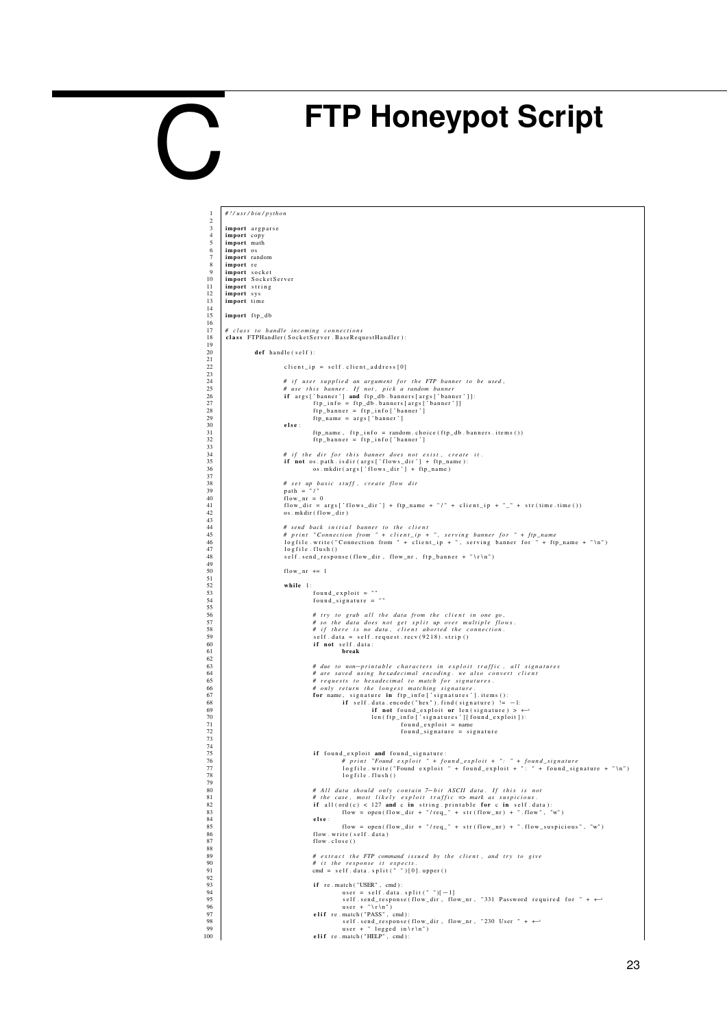## <span id="page-23-0"></span>C

## **FTP Honeypot Script**

| 1                   | #!/usr/bin/python                                                                                                          |
|---------------------|----------------------------------------------------------------------------------------------------------------------------|
| $\mathfrak{D}$      |                                                                                                                            |
| 3<br>$\overline{4}$ | import argparse<br>import copy                                                                                             |
| 5                   | import math                                                                                                                |
| 6                   | import os                                                                                                                  |
| 7<br>8              | import random<br>import re                                                                                                 |
| 9                   | import socket                                                                                                              |
| 10                  | import SocketServer                                                                                                        |
| 11<br>12            | import string<br>import sys                                                                                                |
| 13                  | import time                                                                                                                |
| 14                  |                                                                                                                            |
| 15<br>16            | import ftp_db                                                                                                              |
| 17                  | # class to handle incoming connections                                                                                     |
| 18                  | class FTPHandler (SocketServer. BaseRequestHandler):                                                                       |
| 19<br>20            | def handle(self):                                                                                                          |
| 21                  |                                                                                                                            |
| 22                  | $client\_ip = self.clier1\_address[0]$                                                                                     |
| 23<br>24            | # if user supplied an argument for the FTP banner to be used,                                                              |
| 25                  | # use this banner. If not, pick a random banner                                                                            |
| 26                  | if args ['banner'] and ftp_db.banners [args ['banner']]:                                                                   |
| 27<br>28            | ftp_info = ftp_db.banners[args['banner']]<br>ftp_banner = ftp_info['banner']                                               |
| 29                  | ftp_name = args['banner']                                                                                                  |
| 30                  | else:                                                                                                                      |
| 31<br>32            | ftp_name, ftp_info = random.choice(ftp_db.banners.items())<br>ftp_banner = ftp_info['banner']                              |
| 33                  |                                                                                                                            |
| 34<br>35            | # if the dir for this banner does not exist, create it.<br>if not os.path.isdir(args['flows_dir'] + ftp_name):             |
| 36                  | os.mkdir(args['flows_dir'] + ftp_name)                                                                                     |
| 37                  |                                                                                                                            |
| 38<br>39            | # set up basic stuff, create flow dir<br>$path = "['$                                                                      |
| 40                  | $flow_nr = 0$                                                                                                              |
| 41                  | $flow\_dir = args['flows\_dir'] + ftp_name + "l" + client_ip + "- " + str (time.time())$                                   |
| 42<br>43            | os.mkdir(flow_dir)                                                                                                         |
| 44                  | # send back initial banner to the client                                                                                   |
| 45                  | # print "Connection from " + client_ip + ", serving banner for " + ftp_name                                                |
| 46<br>47            | logfile.write("Connection from " + client_ip + ", serving banner for " + ftp_name + "\n")<br>logfile.flush()               |
| 48                  | self.send_response(flow_dir, flow_nr, ftp_banner + "\r\n")                                                                 |
| 49<br>50            |                                                                                                                            |
| 51                  | $flow_nr += 1$                                                                                                             |
| 52                  | while 1:                                                                                                                   |
| 53<br>54            | $found\_exploit = ""$<br>$found\_signature = "$                                                                            |
| 55                  |                                                                                                                            |
| 56                  | # try to grab all the data from the client in one go,                                                                      |
| 57<br>58            | # so the data does not get split up over multiple flows.<br># if there is no data, client aborted the connection.          |
| 59                  | $self.data = self.request.recv(9218). strip()$                                                                             |
| 60                  | if not self.data:                                                                                                          |
| 61<br>62            | break                                                                                                                      |
| 63                  | # due to non-printable characters in exploit traffic, all signatures                                                       |
| 64<br>65            | # are saved using hexadecimal encoding. we also convert client<br># requests to hexadecimal to match for signatures.       |
| 66                  | # only return the longest matching signature.                                                                              |
| 67                  | for name, signature in ftp_info['signatures'].items():                                                                     |
| 68<br>69            | if self.data.encode("hex").find(signature) $!= -1$ :<br>if not found_exploit or len(signature) > $\leftrightarrow$         |
| 70                  | len (ftp_info ['signatures'][found_exploit]):                                                                              |
| 71                  | $found\_exploit = name$                                                                                                    |
| 72<br>73            | found_signature = signature                                                                                                |
| 74                  |                                                                                                                            |
| 75<br>76            | if found_exploit and found_signature:<br># print "Found exploit " + found_exploit + ": " + found_signature                 |
| 77                  | logfile.write("Found exploit " + found_exploit + ": " + found_signature + "\n")                                            |
| 78                  | logfile.flush()                                                                                                            |
| 79<br>80            | # All data should only contain 7-bit ASCII data. If this is not                                                            |
| 81                  | # the case, most likely exploit traffic => mark as suspicious.                                                             |
| 82                  | if all $(\text{ord}(c) < 127$ and c in string printable for c in self. data):                                              |
| 83<br>84            | $flow = open(float\_dir + "/req" + str(float\_nr) + ".flow", "w")$<br>else:                                                |
| 85                  | flow = open(flow_dir + "/req_" + str(flow_nr) + ".flow_suspicious", "w")                                                   |
| 86<br>87            | flow.write (self.data)<br>flow.close()                                                                                     |
| 88                  |                                                                                                                            |
| 89                  | # extract the FTP command issued by the client, and try to give                                                            |
| 90<br>91            | # it the response it expects.<br>cmd = self.data.split(" ")[0].upper()                                                     |
| 92                  |                                                                                                                            |
| 93                  | if re.match("USER", cmd):                                                                                                  |
| 94<br>95            | user = $self.data.split("")[-1]$<br>self.send_response(flow_dir, flow_nr, "331 Password required for " + $\leftrightarrow$ |
| 96                  | $user + " \r \r \r \r \r$                                                                                                  |
| 97<br>98            | elif re.match("PASS", cmd):                                                                                                |
| 99                  | self.send_response(flow_dir, flow_nr, "230 User " + $\leftrightarrow$<br>user + " logged $in \rceil r \rceil$              |
| 100                 | elif re.match("HELP", cmd):                                                                                                |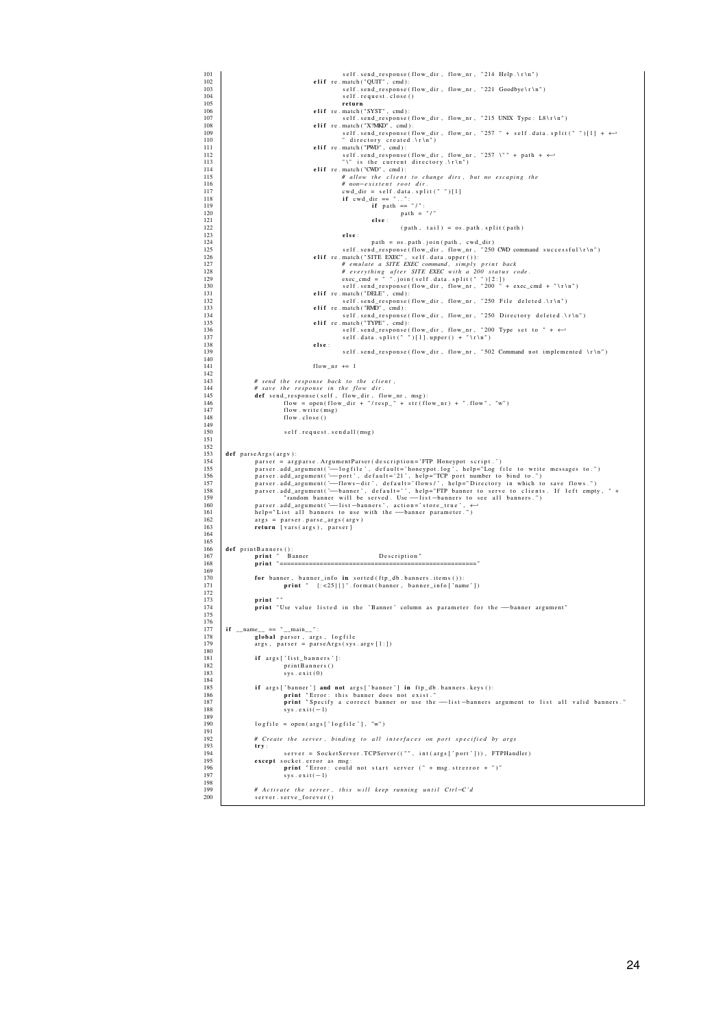| 101         | self.send_response(flow_dir, flow_nr, "214 Help.\r\n")                                                                                                                                                |
|-------------|-------------------------------------------------------------------------------------------------------------------------------------------------------------------------------------------------------|
| 102<br>103  | elif re.match("QUIT", cmd):<br>self.send_response(flow_dir, flow_nr, "221 Goodbye\r\n")                                                                                                               |
| 104         | self.request.close()                                                                                                                                                                                  |
| 105         | return                                                                                                                                                                                                |
| 106<br>107  | elif re.match("SYST", cmd):<br>self.send_response(flow_dir, flow_nr, "215 UNIX Type: L8\r\n")                                                                                                         |
| 108         | elif $re . match ('X?MKD'', cmd):$                                                                                                                                                                    |
| 109         | self.send_response(flow_dir,flow_nr, "257" + self.data.split("")[1] + $\leftrightarrow$                                                                                                               |
| 110<br>111  | " directory created.\r\n")<br>elif re.match ("PWD", cmd):                                                                                                                                             |
| 112         | self.send_response(flow_dir, flow_nr, "257 \"" + path + $\leftrightarrow$                                                                                                                             |
| 113         | "\" is the current directory.\r\n")                                                                                                                                                                   |
| 114<br>115  | elif re.match("CWD", cmd):<br># allow the client to change dirs, but no escaping the                                                                                                                  |
| 116         | # non-existent root dir.                                                                                                                                                                              |
| 117         | $cwd\_dir = self.data.split("")[1]$                                                                                                                                                                   |
| 118<br>119  | if $ewd_dir == "":$<br>if $path == "/":$                                                                                                                                                              |
| 120         | path = $"$ /"                                                                                                                                                                                         |
| 121         | else:                                                                                                                                                                                                 |
| 122.<br>123 | $(path, tail) = os.path.split(path)$<br>else:                                                                                                                                                         |
| 124         | path = os.path.join(path, cwd_dir)                                                                                                                                                                    |
| 125         | self.send_response(flow_dir,flow_nr, "250 CWD command successful\r\n")                                                                                                                                |
| 126<br>127  | elif re.match("SITE EXEC", self.data.upper()):<br># emulate a SITE EXEC command, simply print back                                                                                                    |
| 128         | # everything after SITE EXEC with a 200 status code.                                                                                                                                                  |
| 129         | $exec\_cmd = "".join(self.data.split(" ")[2:])$                                                                                                                                                       |
| 130<br>131  | self.send_response(flow_dir,flow_nr,"200" + exec_cmd + "\r\n")<br>elif re.match("DELE", cmd):                                                                                                         |
| 132         | self.send_response(flow_dir, flow_nr, "250 File deleted.\r\n")                                                                                                                                        |
| 133         | elif re.match("RMD", cmd):                                                                                                                                                                            |
| 134<br>135  | self.send_response(flow_dir, flow_nr, "250 Directory deleted.\r\n")<br>elif re.match("TYPE", cmd):                                                                                                    |
| 136         | self.send_response(flow_dir, flow_nr, "200 Type set to " + $\leftrightarrow$                                                                                                                          |
| 137<br>138  | self.data.split("")[1].upper() + "\r\n")<br>else:                                                                                                                                                     |
| 139         | self.send_response(flow_dir, flow_nr, "502 Command not implemented \r\n")                                                                                                                             |
| 140         |                                                                                                                                                                                                       |
| 141<br>142  | $flow_nr += 1$                                                                                                                                                                                        |
| 143         | # send the response back to the client,                                                                                                                                                               |
| 144         | # save the response in the flow dir.                                                                                                                                                                  |
| 145<br>146  | def send_response(self, flow_dir, flow_nr, msg):<br>flow = open(flow_dir + "/resp_" + str(flow_nr) + ".flow", "w")                                                                                    |
| 147         | flow.write(msg)                                                                                                                                                                                       |
| 148         | flow.close()                                                                                                                                                                                          |
| 149<br>150  | self.request.sendall(msg)                                                                                                                                                                             |
| 151         |                                                                                                                                                                                                       |
| 152         |                                                                                                                                                                                                       |
| 153<br>154  | def parseArgs (argv):<br>parser = argparse. ArgumentParser(description='FTP Honeypot script.')                                                                                                        |
| 155         | parser.add_argument('--logfile', default='honeypot.log', help="Log file to write messages to.")                                                                                                       |
| 156         | parser.add_argument('-port', default='21', help="TCP port number to bind to.")                                                                                                                        |
| 157<br>158  | parser.add_argument('-flows-dir', default='flows/', help="Directory in which to save flows.")<br>parser.add_argument('--banner', default='', help="FTP banner to serve to clients. If left empty, " + |
| 159         | "random banner will be served. Use -- list-banners to see all banners.")                                                                                                                              |
| 160         | parser.add_argument('-list-banners', action='store_true', ←                                                                                                                                           |
| 161<br>162  | help="List all banners to use with the -banner parameter.<br>$args = parser.parse_{args(argv)$                                                                                                        |
| 163         | return [vars(args), parser]                                                                                                                                                                           |
| 164         |                                                                                                                                                                                                       |
| 165<br>166  | def printBanners():                                                                                                                                                                                   |
| 167         | print " Banner<br>Description"                                                                                                                                                                        |
| 168         | print "================                                                                                                                                                                               |
| 169<br>170  | for banner, banner_info in sorted(ftp_db.banners.items()):                                                                                                                                            |
| 171         | $print$ " ${:=25}{\}$ : format (banner, banner_info ['name'])                                                                                                                                         |
| 172         |                                                                                                                                                                                                       |
| 173<br>174  | print ""<br>print "Use value listed in the 'Banner' column as parameter for the --- banner argument"                                                                                                  |
| 175         |                                                                                                                                                                                                       |
| 176         |                                                                                                                                                                                                       |
| 177<br>178  | if __name__ == "__main__":<br>global parser, args, logfile                                                                                                                                            |
| 179         | $args, parser = parseArgs(sys.argv[1:])$                                                                                                                                                              |
| 180<br>181  |                                                                                                                                                                                                       |
| 182         | if args ['list_banners']:<br>printBanners()                                                                                                                                                           |
| 183         | sys. exit (0)                                                                                                                                                                                         |
| 184         |                                                                                                                                                                                                       |
| 185<br>186  | if args ['banner'] and not args ['banner'] in ftp_db.banners.keys():<br>print "Error: this banner does not exist."                                                                                    |
| 187         | print "Specify a correct banner or use the -list-banners argument to list all valid banners."                                                                                                         |
| 188<br>189  | $sys. exit(-1)$                                                                                                                                                                                       |
| 190         | logfile = open(args['logfile'], "w")                                                                                                                                                                  |
| 191         |                                                                                                                                                                                                       |
| 192<br>193  | # Create the server, binding to all interfaces on port specified by args<br>try:                                                                                                                      |
| 194         | server = SocketServer. TCPServer(("", int(args['port'])), FTPHandler)                                                                                                                                 |
| 195         | except socket. error as msg:                                                                                                                                                                          |
| 196<br>197  | print "Error: could not start server (" + msg. strerror + ")"<br>$sys. exit(-1)$                                                                                                                      |
| 198         |                                                                                                                                                                                                       |
| 199<br>200  | # Activate the server, this will keep running until Ctrl-C'd                                                                                                                                          |
|             | server.serve_forever()                                                                                                                                                                                |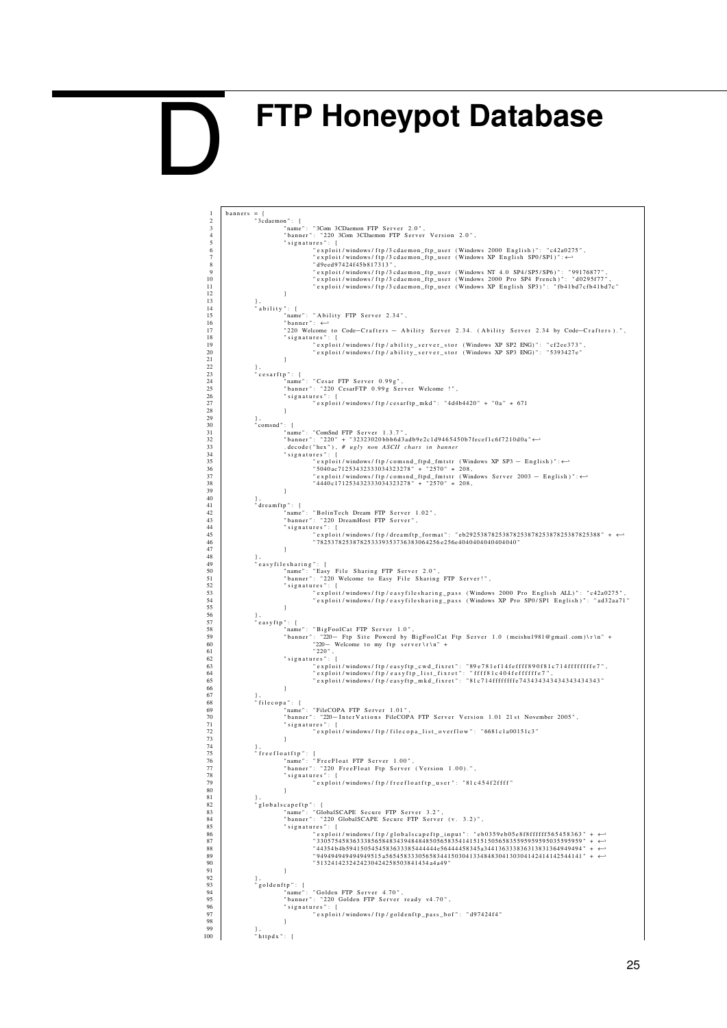## <span id="page-25-0"></span>**FTP Honeypot Database**

D

1 banners = {<br>
2 "3cdaemon": {<br>
3 mame": "3Com 3CDaemon FTP Server 2.0",<br>
4 "banner": "220 3Com 3CDaemon FTP Server Version 2.0",<br>
5 signatures": { 6 " e x p l o i t / windows / f t p / 3 c d a e m o n \_ ft p \_ u s e r ( Windows 2000 E n g l i s h ) " : " c 4 2a 0 2 7 5 " , 7 " e x p l o i t / windows / f t p / 3 c d a e m o n \_ ft p \_ u s e r ( Windows XP E n g l i s h SP0 / SP1 ) " :←- 8 | d9eed97424f45b817313", 9 " e x p l o i t / windows / f t p / 3 c d a e m o n \_ ft p \_ u s e r ( Windows NT 4 . 0 SP4 / SP5 / SP6 ) " : " 99176877 " , 10 " e x p l o i t / windows / f t p / 3 c d a e m o n \_ ft p \_ u s e r ( Windows 2000 P r o SP4 F r e n c h ) " : " d 0 2 9 5 f 7 7 " , 11 " e x p l o i t / windows / f t p / 3 c d a e m o n \_ ft p \_ u s e r ( Windows XP E n g l i s h SP3 ) " : " f b 4 1 b d 7 c f b 4 1 b d 7 c " 12 }<br>13 } ,<br>14 "ability": {<br>16 "namer": "Ability FTP Server 2.34",<br>16 "banner": ← 11<br>
17 "exploit/windows/ftp/3cdaemon\_ftp\_user (Windows XP English SP3)": "fb41bd7cfb41bd7c"<br>
18 "ability": {<br>
"amme": "Ability FTP Server 2.34",<br>
"banner": ←<br>
"220 Welcome to Code−Crafters - Ability Server 2.34. (Ability  $"$  signatures": ." exploit/windows/ftp/ability\_server\_stor (Windows XP SP2 ENG)": "cf2ee373"<br>"exploit/windows/ftp/ability\_server\_stor (Windows XP SP3 ENG)": "5393427e" 21 },<br>
22 },<br>
23 september : {<br>
24 manne" : "Cesar FTP Server 0.99g",<br>
"banner" : "220 CesarFTP 0.99g Server Welcome !",<br>
26 signatures ": { 26<br>
27 " exploit/windows/ftp/cesarftp\_mkd": "4d4b4420" + "0a" \* 671<br>
28<br>
30 : eomsnd":<br>
"namer": "ComSnd FTP Server 1.3.7",<br>
"hamer": "220" + "32323020bb6d3adb9e2c1d9465450b7fecef1c6f7210d0a<br>
33 : decode ("hex"), # ugly n 29<br>
29<br>
1,  $\cdot$  comsnd": {<br>
"comsnd": "ComSnd FTP Server 1.3.7",<br>
"hanne": "220" + "32323020bb6d3adb9e2c1d9465450b7fecef1c6f7210d0a" ↔<br>
.decode("hex"), # ugly non ASCII chars in banner<br>
"signatures": {<br>
"signatures": {<br>
" 42 " name " : " B oli nT e c h Dream FTP S e r v e r 1 . 0 2 " , 43 " b a n n e r " : " 220 DreamHost FTP S e r v e r " , 44 " s i g n a t u r e s " : { 45 " e x p l o i t / windows / f t p / d r e a m f t p \_ f o r m a t " : " eb2925387825387825387825387825387825388 " + ←- 46 " 7825378253878253339353736383064256 e 2 5 6e 4 0 4 0 4 0 4 0 4 0 4 0 4 0 4 0 " 47 } 48 } , 49 " e a s y f i l e s h a r i n g " : { 50 " name " : " Easy F i l e S h a ri n g FTP S e r v e r 2 . 0 " , 51 " b a n n e r " : " 220 Welcome t o Easy F i l e S h a ri n g FTP S e r v e r ! " , 52 " s i g n a t u r e s " : { , "exploit/windows/ftp/easyfilesharing\_pass (Windows 2000 Pro English ALL)": "c42a0275"<br>14 | exploit/windows/ftp/easyfilesharing\_pass (Windows XP Pro SP0/SP1 English)": "ad32aa71" 55 }<br>56 }, }<br>57 "easyftp": { 58 " name " : " Bi g F o olC at FTP S e r v e r 1 . 0 " , 59 " b a n n e r " : "220− Ft p S i t e Powerd by Bi g F o olC at Ft p S e r v e r 1 . 0 ( meishu1981@gmail . com ) \ r \ n " + 60 "220− Welcome t o my f t p s e r v e r \ r \ n " + 61 " 220 " , 62 " s i g n a t u r e s " : { 63 " e x p l o i t / windows / f t p / e a s y f t p \_ c w d \_ f i x r e t " : " 89 e 7 8 1 e f 1 4 f e f f f f 8 9 0 f 8 1 c 7 1 4 f f f f f f f f e 7 " , 64 " e x p l o i t / windows / f t p / e a s y f t p \_ l i s t \_ f i x r e t " : " f f f f 8 1 c 4 0 4 f e f f f f f f e 7 " , 65 " e x p l o i t / windows / f t p / e a s y f t p \_ m k d \_ f i x r e t " : " 81 c 7 1 4 f f f f f f f f e 7 4 3 4 3 4 3 4 3 4 3 4 3 4 3 4 3 4 3 4 3 " 66 } 67 } , 68 " f i l e c o p a " : { 69 " name " : " FileCOPA FTP S e r v e r 1 . 0 1 " , 70 " b a n n e r " : "220−I n t e r V a t i o n s FileCOPA FTP S e r v e r V e r si o n 1 . 0 1 21 s t November 2005 " , 71 " s i g n a t u r e s " : { 72 " e x p l o i t / windows / f t p / f i l e c o p a \_ l i s t \_ o v e r f l o w " : " 6681 c 1a 0 0 1 5 1c 3 " 73 } 74 } , 75 " f r e e f l o a t f t p " : { 76 " name " : " F r e e F l o a t FTP S e r v e r 1 . 0 0 " , 77 " b a n n e r " : " 220 F r e e F l o a t Ft p S e r v e r ( V e r si o n 1 . 0 0 ) . " , 78 " s i g n a t u r e s " : { 79 " e x p l o i t / windows / f t p / f r e e f l o a t f t p \_ u s e r " : " 81 c 4 5 4 f 2 f f f f " 80 } 82 " globalscapeftp": {<br>"name": "GlobalSCAPE Secure FTP Server 3.2",<br>"hanner": "220 GlobalSCAPE Secure FTP Server (v. 3.2)",<br>85 "signatures": {  $\begin{array}{rll} \texttt{88} & \texttt{``explot1/windown5/fn/g} \mid \texttt{s/p} \mid \texttt{31051/windown5/fn/g} \mid \texttt{32059/windown5/fn/g} \mid \texttt{4435481/windown5/fn/g} \mid \texttt{45059/windown5/fn/g} \mid \texttt{45059/windown5/fn/g} \mid \texttt{43549/windown5/fn/g} \mid \texttt{443549/windown5/fn/g} \mid \texttt{443549/windown5/fn/g} \mid \texttt{443549/windown5/fn/g} \mid \$ 91 } 93<br>
95 | "goldenftp": {<br>
"name": "Golden FTP Server 4.70",<br>
"banner": "220 Golden FTP Server ready v4.70",<br>
"signatures": {<br>
"exploit/windows/ftp/goldenftp\_pass\_bof": "d97424f4"<br>
} 99 },<br>
100 },<br>
"httpdx": {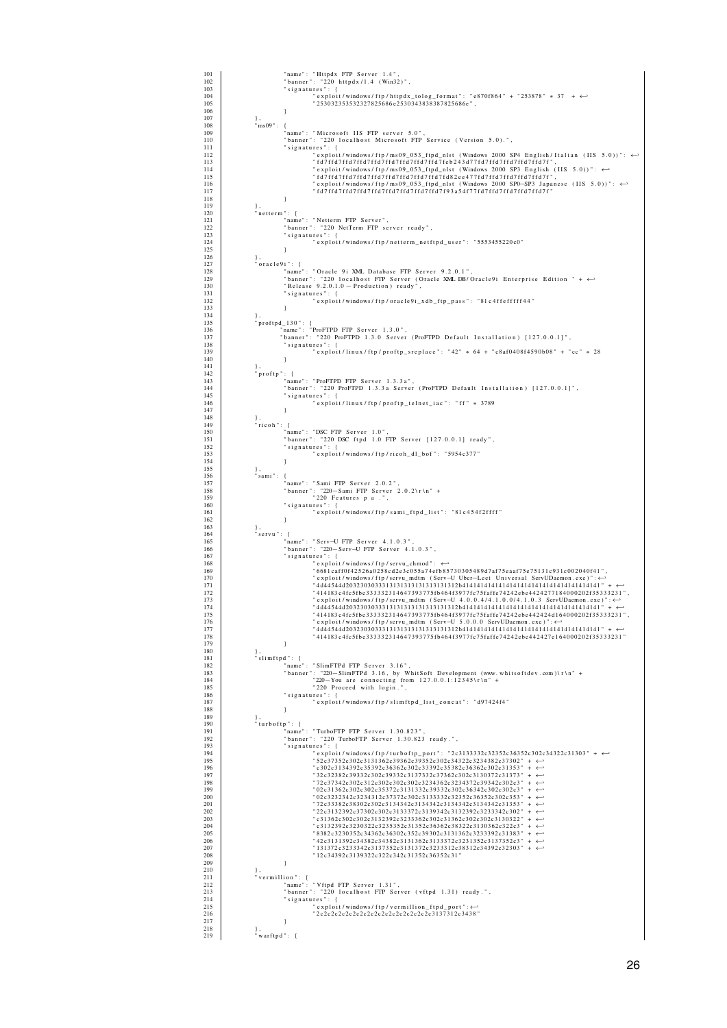| 101        | "name": "Httpdx FTP Server 1.4",                                                                     |
|------------|------------------------------------------------------------------------------------------------------|
| 102        | "banner": "220 httpdx/1.4 (Win32)",                                                                  |
| 103        | "signatures": {                                                                                      |
| 104        | "exploit/windows/ftp/httpdx_tolog_format": "e870f864" + "253878" * 37 + $\leftrightarrow$            |
| 105        | "253032353532327825686e2530343838387825686e",                                                        |
| 106        | 1                                                                                                    |
| 107        | },                                                                                                   |
| 108        | $\sin 609$ ": {                                                                                      |
| 109        | "name": "Microsoft IIS FTP server 5.0",                                                              |
| 110        | "banner": "220 localhost Microsoft FTP Service (Version 5.0).",                                      |
| 111        | "signatures": {                                                                                      |
| 112        | exploit/windows/ftp/ms09_053_ftpd_nlst (Windows 2000 SP4 English/Italian (IIS 5.0))": ↔ "            |
| 113        | " fd7ffd7ffd7ffd7ffd7ffd7ffd7ffd7ffd7feb243d77fd7ffd7ffd7ffd7ffd7f",                                 |
| 114        | "exploit/windows/ftp/ms09_053_ftpd_nlst (Windows 2000 SP3 English (IIS 5.0))": $\leftrightarrow$     |
| 115        | "fd7ffd7ffd7ffd7ffd7ffd7ffd7ffd7ffd7ffd82ee477fd7ffd7ffd7ffd7ffd7f",                                 |
| 116        | "exploit/windows/ftp/ms09_053_ftpd_nlst (Windows 2000 SP0-SP3 Japanese (IIS 5.0))": ↔                |
| 117        |                                                                                                      |
| 118        | }                                                                                                    |
| 119        | $\cdot$                                                                                              |
| 120        | $"$ netterm": {                                                                                      |
| 121        | "name": "Netterm FTP Server",                                                                        |
| 122.       | "banner": "220 NetTerm FTP server ready",                                                            |
| 123        | "signatures": {                                                                                      |
| 124        | "exploit/windows/ftp/netterm_netftpd_user": "5553455220c0"                                           |
| 125        | 1                                                                                                    |
| 126        | Ι,                                                                                                   |
| 127        | "oracle9i": {                                                                                        |
| 128        | "name": "Oracle 9i XML Database FTP Server 9.2.0.1",                                                 |
| 129        | "banner": "220 localhost FTP Server (Oracle XML DB/Oracle9i Enterprise Edition " + $\leftrightarrow$ |
| 130        | "Release 9.2.0.1.0 - Production) ready",                                                             |
| 131        | "signatures": {                                                                                      |
| 132        | "exploit/windows/ftp/oracle9i_xdb_ftp_pass": "81c4ffefffff44"                                        |
| 133        | ÷                                                                                                    |
| 134        | Ι,                                                                                                   |
| 135        | "proftpd_130": {                                                                                     |
| 136        | "name": "ProFTPD FTP Server 1.3.0",                                                                  |
| 137        | "banner": "220 ProFTPD 1.3.0 Server (ProFTPD Default Installation) [127.0.0.1]",                     |
| 138        | "signatures": {                                                                                      |
| 139        | "exploit/linux/ftp/proftp_sreplace": "42" * 64 + "c8af0408f4590b08" + "cc" * 28                      |
| 140<br>141 | 1                                                                                                    |
| 142        | "proftp": {                                                                                          |
| 143        | "name": "ProFTPD FTP Server 1.3.3a",                                                                 |
| 144        | "banner": "220 ProFTPD 1.3.3a Server (ProFTPD Default Installation) [127.0.0.1]",                    |
| 145        | "signatures": {                                                                                      |
| 146        | "exploit/linux/ftp/proftp_telnet_iac": "ff" * 3789                                                   |
| 147        | 1                                                                                                    |
| 148        | Η.                                                                                                   |
| 149        | "ricoh": {                                                                                           |
| 150        | "name": "DSC FTP Server 1.0",                                                                        |
| 151        | "banner": "220 DSC ftpd 1.0 FTP Server [127.0.0.1] ready",                                           |
| 152        | "signatures": {                                                                                      |
| 153        | "exploit/windows/ftp/ricoh_dl_bof": "5954c377"                                                       |
| 154        | 1                                                                                                    |
| 155        | },                                                                                                   |
| 156        | "sami": {                                                                                            |
| 157        | "name": "Sami FTP Server 2.0.2",                                                                     |
| 158        | "banner": "220-Sami FTP Server 2.0.2\r\n" +                                                          |
| 159        | "220 Features p a .",                                                                                |
| 160        | "signatures": {                                                                                      |
| 161        | "exploit/windows/ftp/sami_ftpd_list": "81c454f2ffff"                                                 |
| 162<br>163 | $\}$ ,                                                                                               |
| 164        | "servu": {<br>"name": "Serv-U FTP Server 4.1.0.3",                                                   |
| 165<br>166 | "banner": "220-Serv-U FTP Server 4.1.0.3",                                                           |
| 167        | "signatures": {                                                                                      |
| 168        | " exploit / windows / ftp / servu_chmod" : $\leftrightarrow$                                         |
| 169        | " 6681 caff0f42526a0258cd2e3c055a74efb85730305489d7af75eaaf75e75131c931c002040f41                    |
| 170        | "exploit/windows/ftp/servu_mdtm (Serv-U Uber-Leet Universal ServUDaemon.exe)": ↔                     |
| 171        |                                                                                                      |
| 172        | , "414183 c4fc5fbe333332314647393775fb464f3977fc75faffe74242ebe4424277184000202f35333231             |
| 173        | "exploit/windows/ftp/servu_mdtm (Serv-U 4.0.0.4/4.1.0.0/4.1.0.3 ServUDaemon.exe)": $\leftrightarrow$ |
| 174        |                                                                                                      |
| 175        | "414183c4fc5fbe333332314647393775fb464f3977fc75faffe74242ebe442424d164000202f35333231                |
| 176        | "exploit/windows/ftp/servu_mdtm (Serv-U 5.0.0.0 ServUDaemon.exe)": ←                                 |
| 177        |                                                                                                      |
| 178        | "414183c4fc5fbe333332314647393775fb464f3977fc75faffe74242ebe442427e164000202f35333231"               |
| 179        | 1                                                                                                    |
| 180        | },                                                                                                   |
| 181        | "slimftpd": {                                                                                        |
| 182        | "name": "SlimFTPd FTP Server 3.16",                                                                  |
| 183        | "banner": "220-SlimFTPd 3.16, by WhitSoft Development (www.whitsoftdev.com)\r\n" +                   |
| 184        | "220-You are connecting from $127.0.0.1:12345 \$ r \n" +                                             |
| 185        | "220 Proceed with login.",                                                                           |
| 186        | "signatures": {                                                                                      |
| 187        | "exploit/windows/ftp/slimftpd_list_concat": "d97424f4"                                               |
| 188        | 1                                                                                                    |
| 189        | Ι,                                                                                                   |
| 190        | "turboftp": {                                                                                        |
| 191        | "name": "TurboFTP FTP Server 1.30.823",                                                              |
| 192        | "banner": "220 TurboFTP Server 1.30.823 ready.",                                                     |
| 193        | "signatures": {                                                                                      |
| 194        | - + + + exploit/windows/ftp/turboftp_port": "2c3133332c32352c36352c302c34322c31303"                  |
| 195        | "52c37352c302c3131362c39362c39352c302c34322c3234382c37302" + $\leftrightarrow$                       |
| 196        | $"c302c3134392c35392c36362c302c33392c35382c36362c302c31353" + \leftrightarrow$                       |
| 197        | $"32c32382c39332c302c39332c3137332c37362c302c3130372c31373" + \leftrightarrow$                       |
| 198        | $"72c37342c302c312c302c302c302c3234362c3234372c39342c302c3" + \leftrightarrow$                       |
| 199        | $"02c31362c302c302c35372c3131332c39332c302c36342c302c302c3" + \leftrightarrow"$                      |
| 200        | "02c3232342c3234312c37372c302c3133332c32c36352c302c353" + $\leftrightarrow$                          |
| 201        | $"72c33382c38302c302c3134342c3134342c3134342c3134342c31353" + \leftrightarrow$                       |
| 202        | $"22c3132392c37302c302c3133372c3139342c3132392c3233342c302" + \leftrightarrow$                       |
| 203        | $"c31362c302c302c3132392c3233362c302c31362c302c302c3130322" + \leftrightarrow$                       |
| 204        | $"c3132392c3230322c3235352c31352c36362c38322c3130362c322c3" + \leftrightarrow"$                      |
| 205        | $8382c3230352c34362c36302c352c39302c3131362c3233392c31383" + \leftrightarrow$                        |
| 206        | $"42c3131392c34382c34382c3131362c3133372c3231352c3137352c3" + \leftrightarrow$                       |
| 207        | $"131372c3233342c3137352c3131372c3233312c38312c34392c32303" + \leftrightarrow$                       |
| 208        | "12c34392c3139322c322c342c31352c36352c31"                                                            |
| 209        | 1                                                                                                    |
| 210        | Ι,                                                                                                   |
| 211        | "vermillion": {                                                                                      |
| 212        | "name": "Vftpd FTP Server 1.31",                                                                     |
| 213        | "banner": "220 localhost FTP Server (vftpd 1.31) ready.",                                            |
| 214        | "signatures": {                                                                                      |
| 215        | "exploit/windows/ftp/vermillion_ftpd_port": ↔                                                        |
| 216        | "2c2c2c2c2c2c2c2c2c2c2c2c2c2c2c3137312c3438"                                                         |
| 217        | 1                                                                                                    |
| 218        | Ι,                                                                                                   |
| 219        | "warftpd": {                                                                                         |
|            |                                                                                                      |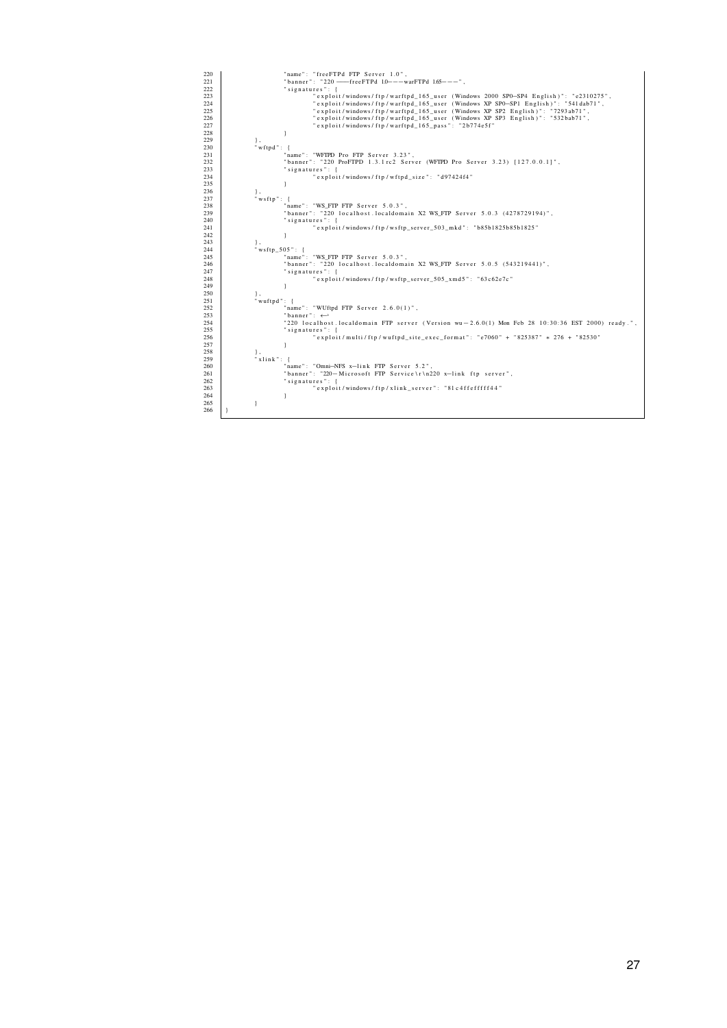| 222<br>"signatures": {<br>223<br>"exploit/windows/ftp/warftpd_165_user (Windows 2000 SP0-SP4 English)": "e2310275",<br>"exploit/windows/ftp/warftpd 165 user (Windows XP SP0-SP1 English)": "541dab71",<br>224<br>"exploit/windows/ftp/warftpd 165 user (Windows XP SP2 English)": "7293ab71",<br>225<br>226<br>"exploit/windows/ftp/warftpd 165 user (Windows XP SP3 English)": "532bab71",<br>227<br>"exploit/windows/ftp/warftpd 165 pass": "2b774e5f"<br>228<br>229<br>},<br>"wftpd": {<br>230<br>"name": "WFTPD Pro FTP Server 3.23",<br>231<br>232<br>"banner": "220 ProFTPD 1.3.1 rc2 Server (WFIPD Pro Server 3.23) [127.0.0.11",<br>233<br>"signatures": {<br>234<br>"exploit/windows/ftp/wftpd size": "d97424f4"<br>235<br>236<br>},<br>"wsftp": {<br>237<br>"name": "WS FTP FTP Server 5.0.3",<br>238<br>"banner": "220 localhost.localdomain X2 WS FTP Server 5.0.3 (4278729194)",<br>239<br>"signatures": {<br>240<br>"exploit/windows/ftp/wsftp server 503 mkd": "b85b1825b85b1825"<br>241<br>242<br>243<br>},<br>"wsftp $505$ ": {<br>244<br>"name": "WS FTP FTP Server 5.0.3",<br>245<br>"banner": "220 localhost.localdomain X2 WS FTP Server 5.0.5 (543219441)",<br>246<br>247<br>"signatures": {<br>"exploit/windows/ftp/wsftp server 505 xmd5": "63c62e7c"<br>248<br>249<br>250<br>},<br>"wuftpd": {<br>251<br>"name": "WUftpd FTP Server $2.6.0(1)$ ",<br>252<br>253<br>"banner": $\leftrightarrow$<br>"220 localhost.localdomain FTP server (Version wu $-2.6.0(1)$ Mon Feb 28 10:30:36 EST 2000) ready.",<br>254<br>255<br>"signatures": {<br>"exploit/multi/ftp/wuftpd site exec format": "e7060" + "825387" * 276 + "82530"<br>256<br>257<br>258<br>},<br>"xlink": {<br>259<br>"name": "Omni-NFS x-link FTP Server 5.2",<br>260<br>"banner": "220-Microsoft FTP Service\r\n220 x-link ftp server",<br>261<br>262<br>"signatures": {<br>"exploit/windows/ftp/xlink server": "81c4ffefffff44"<br>263<br>264<br>1 | 220 | "name": "freeFTPd FTP Server 1.0",                  |
|-----------------------------------------------------------------------------------------------------------------------------------------------------------------------------------------------------------------------------------------------------------------------------------------------------------------------------------------------------------------------------------------------------------------------------------------------------------------------------------------------------------------------------------------------------------------------------------------------------------------------------------------------------------------------------------------------------------------------------------------------------------------------------------------------------------------------------------------------------------------------------------------------------------------------------------------------------------------------------------------------------------------------------------------------------------------------------------------------------------------------------------------------------------------------------------------------------------------------------------------------------------------------------------------------------------------------------------------------------------------------------------------------------------------------------------------------------------------------------------------------------------------------------------------------------------------------------------------------------------------------------------------------------------------------------------------------------------------------------------------------------------------------------------------------------------------------------------------------------------------------------------------------------------------------------------------|-----|-----------------------------------------------------|
|                                                                                                                                                                                                                                                                                                                                                                                                                                                                                                                                                                                                                                                                                                                                                                                                                                                                                                                                                                                                                                                                                                                                                                                                                                                                                                                                                                                                                                                                                                                                                                                                                                                                                                                                                                                                                                                                                                                                         | 221 | "banner": "220 -- freeFTPd 1.0--- warFTPd 1.65---", |
|                                                                                                                                                                                                                                                                                                                                                                                                                                                                                                                                                                                                                                                                                                                                                                                                                                                                                                                                                                                                                                                                                                                                                                                                                                                                                                                                                                                                                                                                                                                                                                                                                                                                                                                                                                                                                                                                                                                                         |     |                                                     |
|                                                                                                                                                                                                                                                                                                                                                                                                                                                                                                                                                                                                                                                                                                                                                                                                                                                                                                                                                                                                                                                                                                                                                                                                                                                                                                                                                                                                                                                                                                                                                                                                                                                                                                                                                                                                                                                                                                                                         |     |                                                     |
|                                                                                                                                                                                                                                                                                                                                                                                                                                                                                                                                                                                                                                                                                                                                                                                                                                                                                                                                                                                                                                                                                                                                                                                                                                                                                                                                                                                                                                                                                                                                                                                                                                                                                                                                                                                                                                                                                                                                         |     |                                                     |
|                                                                                                                                                                                                                                                                                                                                                                                                                                                                                                                                                                                                                                                                                                                                                                                                                                                                                                                                                                                                                                                                                                                                                                                                                                                                                                                                                                                                                                                                                                                                                                                                                                                                                                                                                                                                                                                                                                                                         |     |                                                     |
|                                                                                                                                                                                                                                                                                                                                                                                                                                                                                                                                                                                                                                                                                                                                                                                                                                                                                                                                                                                                                                                                                                                                                                                                                                                                                                                                                                                                                                                                                                                                                                                                                                                                                                                                                                                                                                                                                                                                         |     |                                                     |
|                                                                                                                                                                                                                                                                                                                                                                                                                                                                                                                                                                                                                                                                                                                                                                                                                                                                                                                                                                                                                                                                                                                                                                                                                                                                                                                                                                                                                                                                                                                                                                                                                                                                                                                                                                                                                                                                                                                                         |     |                                                     |
|                                                                                                                                                                                                                                                                                                                                                                                                                                                                                                                                                                                                                                                                                                                                                                                                                                                                                                                                                                                                                                                                                                                                                                                                                                                                                                                                                                                                                                                                                                                                                                                                                                                                                                                                                                                                                                                                                                                                         |     |                                                     |
|                                                                                                                                                                                                                                                                                                                                                                                                                                                                                                                                                                                                                                                                                                                                                                                                                                                                                                                                                                                                                                                                                                                                                                                                                                                                                                                                                                                                                                                                                                                                                                                                                                                                                                                                                                                                                                                                                                                                         |     |                                                     |
|                                                                                                                                                                                                                                                                                                                                                                                                                                                                                                                                                                                                                                                                                                                                                                                                                                                                                                                                                                                                                                                                                                                                                                                                                                                                                                                                                                                                                                                                                                                                                                                                                                                                                                                                                                                                                                                                                                                                         |     |                                                     |
|                                                                                                                                                                                                                                                                                                                                                                                                                                                                                                                                                                                                                                                                                                                                                                                                                                                                                                                                                                                                                                                                                                                                                                                                                                                                                                                                                                                                                                                                                                                                                                                                                                                                                                                                                                                                                                                                                                                                         |     |                                                     |
|                                                                                                                                                                                                                                                                                                                                                                                                                                                                                                                                                                                                                                                                                                                                                                                                                                                                                                                                                                                                                                                                                                                                                                                                                                                                                                                                                                                                                                                                                                                                                                                                                                                                                                                                                                                                                                                                                                                                         |     |                                                     |
|                                                                                                                                                                                                                                                                                                                                                                                                                                                                                                                                                                                                                                                                                                                                                                                                                                                                                                                                                                                                                                                                                                                                                                                                                                                                                                                                                                                                                                                                                                                                                                                                                                                                                                                                                                                                                                                                                                                                         |     |                                                     |
|                                                                                                                                                                                                                                                                                                                                                                                                                                                                                                                                                                                                                                                                                                                                                                                                                                                                                                                                                                                                                                                                                                                                                                                                                                                                                                                                                                                                                                                                                                                                                                                                                                                                                                                                                                                                                                                                                                                                         |     |                                                     |
|                                                                                                                                                                                                                                                                                                                                                                                                                                                                                                                                                                                                                                                                                                                                                                                                                                                                                                                                                                                                                                                                                                                                                                                                                                                                                                                                                                                                                                                                                                                                                                                                                                                                                                                                                                                                                                                                                                                                         |     |                                                     |
|                                                                                                                                                                                                                                                                                                                                                                                                                                                                                                                                                                                                                                                                                                                                                                                                                                                                                                                                                                                                                                                                                                                                                                                                                                                                                                                                                                                                                                                                                                                                                                                                                                                                                                                                                                                                                                                                                                                                         |     |                                                     |
|                                                                                                                                                                                                                                                                                                                                                                                                                                                                                                                                                                                                                                                                                                                                                                                                                                                                                                                                                                                                                                                                                                                                                                                                                                                                                                                                                                                                                                                                                                                                                                                                                                                                                                                                                                                                                                                                                                                                         |     |                                                     |
|                                                                                                                                                                                                                                                                                                                                                                                                                                                                                                                                                                                                                                                                                                                                                                                                                                                                                                                                                                                                                                                                                                                                                                                                                                                                                                                                                                                                                                                                                                                                                                                                                                                                                                                                                                                                                                                                                                                                         |     |                                                     |
|                                                                                                                                                                                                                                                                                                                                                                                                                                                                                                                                                                                                                                                                                                                                                                                                                                                                                                                                                                                                                                                                                                                                                                                                                                                                                                                                                                                                                                                                                                                                                                                                                                                                                                                                                                                                                                                                                                                                         |     |                                                     |
|                                                                                                                                                                                                                                                                                                                                                                                                                                                                                                                                                                                                                                                                                                                                                                                                                                                                                                                                                                                                                                                                                                                                                                                                                                                                                                                                                                                                                                                                                                                                                                                                                                                                                                                                                                                                                                                                                                                                         |     |                                                     |
|                                                                                                                                                                                                                                                                                                                                                                                                                                                                                                                                                                                                                                                                                                                                                                                                                                                                                                                                                                                                                                                                                                                                                                                                                                                                                                                                                                                                                                                                                                                                                                                                                                                                                                                                                                                                                                                                                                                                         |     |                                                     |
|                                                                                                                                                                                                                                                                                                                                                                                                                                                                                                                                                                                                                                                                                                                                                                                                                                                                                                                                                                                                                                                                                                                                                                                                                                                                                                                                                                                                                                                                                                                                                                                                                                                                                                                                                                                                                                                                                                                                         |     |                                                     |
|                                                                                                                                                                                                                                                                                                                                                                                                                                                                                                                                                                                                                                                                                                                                                                                                                                                                                                                                                                                                                                                                                                                                                                                                                                                                                                                                                                                                                                                                                                                                                                                                                                                                                                                                                                                                                                                                                                                                         |     |                                                     |
|                                                                                                                                                                                                                                                                                                                                                                                                                                                                                                                                                                                                                                                                                                                                                                                                                                                                                                                                                                                                                                                                                                                                                                                                                                                                                                                                                                                                                                                                                                                                                                                                                                                                                                                                                                                                                                                                                                                                         |     |                                                     |
|                                                                                                                                                                                                                                                                                                                                                                                                                                                                                                                                                                                                                                                                                                                                                                                                                                                                                                                                                                                                                                                                                                                                                                                                                                                                                                                                                                                                                                                                                                                                                                                                                                                                                                                                                                                                                                                                                                                                         |     |                                                     |
|                                                                                                                                                                                                                                                                                                                                                                                                                                                                                                                                                                                                                                                                                                                                                                                                                                                                                                                                                                                                                                                                                                                                                                                                                                                                                                                                                                                                                                                                                                                                                                                                                                                                                                                                                                                                                                                                                                                                         |     |                                                     |
|                                                                                                                                                                                                                                                                                                                                                                                                                                                                                                                                                                                                                                                                                                                                                                                                                                                                                                                                                                                                                                                                                                                                                                                                                                                                                                                                                                                                                                                                                                                                                                                                                                                                                                                                                                                                                                                                                                                                         |     |                                                     |
|                                                                                                                                                                                                                                                                                                                                                                                                                                                                                                                                                                                                                                                                                                                                                                                                                                                                                                                                                                                                                                                                                                                                                                                                                                                                                                                                                                                                                                                                                                                                                                                                                                                                                                                                                                                                                                                                                                                                         |     |                                                     |
|                                                                                                                                                                                                                                                                                                                                                                                                                                                                                                                                                                                                                                                                                                                                                                                                                                                                                                                                                                                                                                                                                                                                                                                                                                                                                                                                                                                                                                                                                                                                                                                                                                                                                                                                                                                                                                                                                                                                         |     |                                                     |
|                                                                                                                                                                                                                                                                                                                                                                                                                                                                                                                                                                                                                                                                                                                                                                                                                                                                                                                                                                                                                                                                                                                                                                                                                                                                                                                                                                                                                                                                                                                                                                                                                                                                                                                                                                                                                                                                                                                                         |     |                                                     |
|                                                                                                                                                                                                                                                                                                                                                                                                                                                                                                                                                                                                                                                                                                                                                                                                                                                                                                                                                                                                                                                                                                                                                                                                                                                                                                                                                                                                                                                                                                                                                                                                                                                                                                                                                                                                                                                                                                                                         |     |                                                     |
|                                                                                                                                                                                                                                                                                                                                                                                                                                                                                                                                                                                                                                                                                                                                                                                                                                                                                                                                                                                                                                                                                                                                                                                                                                                                                                                                                                                                                                                                                                                                                                                                                                                                                                                                                                                                                                                                                                                                         |     |                                                     |
|                                                                                                                                                                                                                                                                                                                                                                                                                                                                                                                                                                                                                                                                                                                                                                                                                                                                                                                                                                                                                                                                                                                                                                                                                                                                                                                                                                                                                                                                                                                                                                                                                                                                                                                                                                                                                                                                                                                                         |     |                                                     |
|                                                                                                                                                                                                                                                                                                                                                                                                                                                                                                                                                                                                                                                                                                                                                                                                                                                                                                                                                                                                                                                                                                                                                                                                                                                                                                                                                                                                                                                                                                                                                                                                                                                                                                                                                                                                                                                                                                                                         |     |                                                     |
|                                                                                                                                                                                                                                                                                                                                                                                                                                                                                                                                                                                                                                                                                                                                                                                                                                                                                                                                                                                                                                                                                                                                                                                                                                                                                                                                                                                                                                                                                                                                                                                                                                                                                                                                                                                                                                                                                                                                         |     |                                                     |
|                                                                                                                                                                                                                                                                                                                                                                                                                                                                                                                                                                                                                                                                                                                                                                                                                                                                                                                                                                                                                                                                                                                                                                                                                                                                                                                                                                                                                                                                                                                                                                                                                                                                                                                                                                                                                                                                                                                                         |     |                                                     |
|                                                                                                                                                                                                                                                                                                                                                                                                                                                                                                                                                                                                                                                                                                                                                                                                                                                                                                                                                                                                                                                                                                                                                                                                                                                                                                                                                                                                                                                                                                                                                                                                                                                                                                                                                                                                                                                                                                                                         |     |                                                     |
|                                                                                                                                                                                                                                                                                                                                                                                                                                                                                                                                                                                                                                                                                                                                                                                                                                                                                                                                                                                                                                                                                                                                                                                                                                                                                                                                                                                                                                                                                                                                                                                                                                                                                                                                                                                                                                                                                                                                         |     |                                                     |
|                                                                                                                                                                                                                                                                                                                                                                                                                                                                                                                                                                                                                                                                                                                                                                                                                                                                                                                                                                                                                                                                                                                                                                                                                                                                                                                                                                                                                                                                                                                                                                                                                                                                                                                                                                                                                                                                                                                                         |     |                                                     |
|                                                                                                                                                                                                                                                                                                                                                                                                                                                                                                                                                                                                                                                                                                                                                                                                                                                                                                                                                                                                                                                                                                                                                                                                                                                                                                                                                                                                                                                                                                                                                                                                                                                                                                                                                                                                                                                                                                                                         |     |                                                     |
|                                                                                                                                                                                                                                                                                                                                                                                                                                                                                                                                                                                                                                                                                                                                                                                                                                                                                                                                                                                                                                                                                                                                                                                                                                                                                                                                                                                                                                                                                                                                                                                                                                                                                                                                                                                                                                                                                                                                         |     |                                                     |
|                                                                                                                                                                                                                                                                                                                                                                                                                                                                                                                                                                                                                                                                                                                                                                                                                                                                                                                                                                                                                                                                                                                                                                                                                                                                                                                                                                                                                                                                                                                                                                                                                                                                                                                                                                                                                                                                                                                                         |     |                                                     |
|                                                                                                                                                                                                                                                                                                                                                                                                                                                                                                                                                                                                                                                                                                                                                                                                                                                                                                                                                                                                                                                                                                                                                                                                                                                                                                                                                                                                                                                                                                                                                                                                                                                                                                                                                                                                                                                                                                                                         |     |                                                     |
| 265                                                                                                                                                                                                                                                                                                                                                                                                                                                                                                                                                                                                                                                                                                                                                                                                                                                                                                                                                                                                                                                                                                                                                                                                                                                                                                                                                                                                                                                                                                                                                                                                                                                                                                                                                                                                                                                                                                                                     |     |                                                     |
| 266                                                                                                                                                                                                                                                                                                                                                                                                                                                                                                                                                                                                                                                                                                                                                                                                                                                                                                                                                                                                                                                                                                                                                                                                                                                                                                                                                                                                                                                                                                                                                                                                                                                                                                                                                                                                                                                                                                                                     |     |                                                     |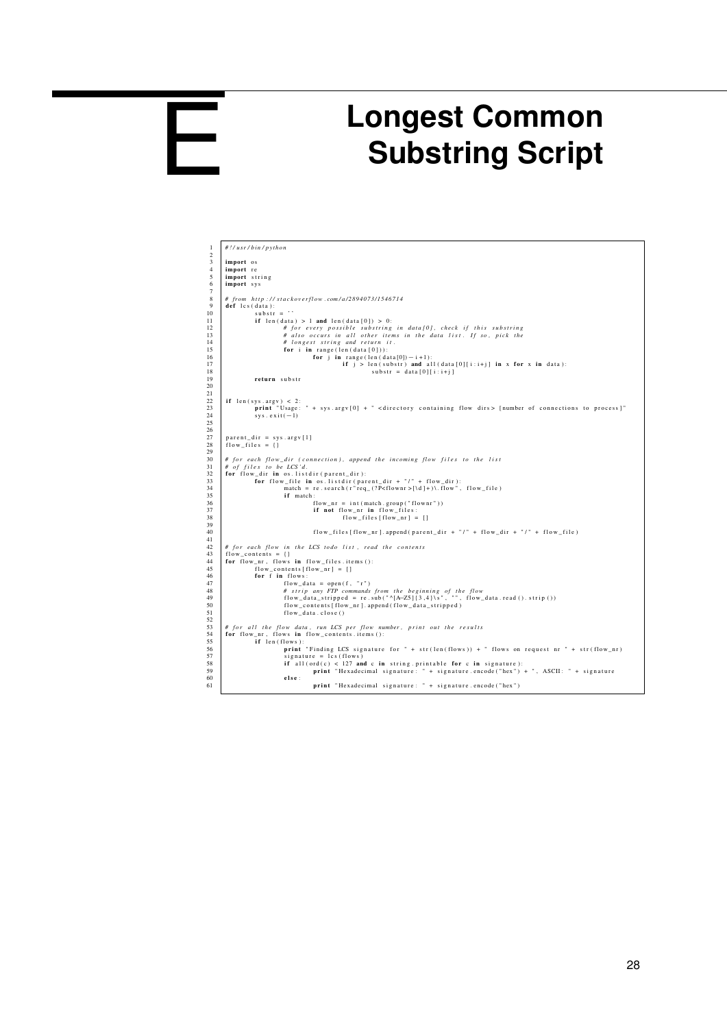<span id="page-28-0"></span>

## **Longest Common Substring Script**

| $\mathbf{1}$        | #!/usr/bin/python                                                                                                           |
|---------------------|-----------------------------------------------------------------------------------------------------------------------------|
| $\overline{c}$<br>3 |                                                                                                                             |
|                     | import os                                                                                                                   |
| $\overline{4}$      | import re                                                                                                                   |
| 5                   | import string                                                                                                               |
| 6<br>7              | import sys                                                                                                                  |
| 8                   | # from http://stackoverflow.com/a/2894073/1546714                                                                           |
| 9                   | def lcs (data):                                                                                                             |
| 10                  | $substr =$ ''                                                                                                               |
| 11                  | if $len(data) > 1$ and $len(data[0]) > 0$ :                                                                                 |
| 12                  | # for every possible substring in data[0], check if this substring                                                          |
| 13                  | # also occurs in all other items in the data list. If so, pick the                                                          |
| 14                  | # longest string and return it.                                                                                             |
| 15                  | for $i$ in range (len (data $[0]$ )):                                                                                       |
| 16                  | for j in range (len $(data[0]) - i + 1)$ :                                                                                  |
| 17                  | if $j > len(substr)$ and all $(data[0][i:i+j]$ in x for x in data):                                                         |
| 18                  | substr = $data[0][i:i+j]$                                                                                                   |
| 19                  | return substr                                                                                                               |
| 20                  |                                                                                                                             |
| 21                  |                                                                                                                             |
| 22                  | if $len(sys.argv) < 2$ :                                                                                                    |
| 23                  | print "Usage: " + sys.argv[0] + " <directory containing="" dirs="" flow=""> [number of connections to process]"</directory> |
| 24                  | $sys. exit(-1)$                                                                                                             |
| 25                  |                                                                                                                             |
| 26                  |                                                                                                                             |
| 27                  | $parent\_dir = sys.argv[1]$                                                                                                 |
| 28                  | flow files $= \{\}$                                                                                                         |
| 29                  |                                                                                                                             |
| 30                  | # for each flow_dir (connection), append the incoming flow files to the list                                                |
| 31                  | # of files to be LCS'd.                                                                                                     |
| 32                  | for flow_dir in os.listdir(parent_dir):                                                                                     |
| 33                  | for flow_file in os. listdir (parent_dir + "/" + flow_dir):                                                                 |
| 34                  | match = re.search(r"req_(?P <flownr>[\d]+)\.flow", flow_file)</flownr>                                                      |
| 35                  | if match:                                                                                                                   |
| 36                  | flow $nr = int(match.group("flownr"))$                                                                                      |
| 37                  | if not flow_nr in flow_files:                                                                                               |
| 38                  | $flow_{files}$ [flow_nr] = []                                                                                               |
| 39                  |                                                                                                                             |
| 40                  | $flow_{\text{rel}}$ flow_files [flow_nr]. append (parent_dir + "/" + flow_dir + "/" + flow_file)                            |
| 41                  |                                                                                                                             |
| 42                  | # for each flow in the LCS todo list, read the contents                                                                     |
| 43                  | flow contents = $\{\}$                                                                                                      |
| 44                  | for flow nr, flows in flow files.items():                                                                                   |
| 45                  | $flow_{\text{contents}}[flow_{\text{nr}}] = []$                                                                             |
| 46                  | for f in flows:                                                                                                             |
| 47                  | $flow_data = open(f, "r")$                                                                                                  |
| 48                  | # strip any FTP commands from the beginning of the flow                                                                     |
| 49                  | flow_data_stripped = re.sub("^[A-Z5]{3,4}\s", "", flow_data.read().strip())                                                 |
| 50                  | flow_contents [flow_nr]. append (flow_data_stripped)                                                                        |
| 51                  | flow data.close()                                                                                                           |
| 52                  |                                                                                                                             |
| 53                  | # for all the flow data, run LCS per flow number, print out the results                                                     |
| 54                  | for flow nr, flows in flow contents.items():                                                                                |
| 55                  | if len(flows):                                                                                                              |
| 56                  | print "Finding LCS signature for " + str(len(flows)) + " flows on request nr " + str(flow_nr)                               |
| 57                  | signature = $lcs$ (flows)                                                                                                   |
| 58                  | if all $(\text{ord}(c) < 127$ and c in string printable for c in signature):                                                |
| 59                  | print "Hexadecimal signature: " + signature.encode("hex") + ", ASCII: " + signature                                         |
| 60                  | else :                                                                                                                      |
| 61                  | print "Hexadecimal signature: " + signature.encode("hex")                                                                   |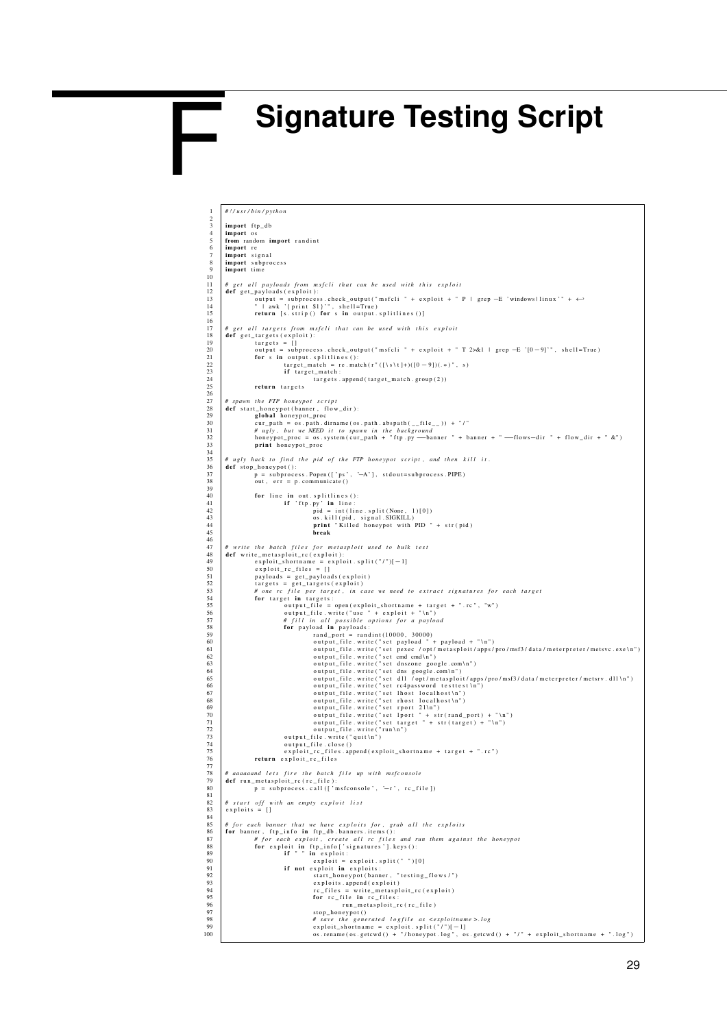## <span id="page-29-0"></span>**Signature Testing Script**

F

```
1 # ! / u s r / bi n / p yt h o n
    2
    3 import ftp_db<br>4 import os<br>5 from random import randint
              import re
    7 import signal<br>8 import subprocess<br>9 import time
 \frac{10}{11}<br>\frac{12}{13}<br>\frac{13}{14}11 | # get all payloads from msfcli that can be used with this exploit<br>12 def get_payloads(exploit):
  13 o u t p u t = s u b p r o c e s s . c h e c k _ o u t p u t ( " m s f c l i " + e x p l o i t + " P | g r e p −E ' windows | l i n u x ' " + ←-
14 " | awk '{ p r i n t $1 } ' " , s h e l l =T r ue )
15 r e t u r n [ s . s t r i p ( ) f o r s i n o u t p u t . s p l i t l i n e s ( ) ]
 \frac{16}{17}17 # get all targets from msfcli that can be used with this exploit<br>
def get_targets (exploit):<br>
19 targets = []<br>
output = subprocess.check_output("msfcli " + exploit + " T 2>&1 | grep -E '[0-9]'", shell=True)<br>
for s i
 \begin{array}{c} 24 \\ 25 \\ 26 \\ 27 \end{array}def start_honeypot script<br>
28 def start_honeypot(banner, flow_dir):<br>
29 def start_honeypot_proc<br>
29 cur_path .abspath(__file__)) + "/"<br>
29 cur_path .abspath(__file__)) + "/"<br>
29 honeypot_proc = os_system(cur_path + "ftp.py
  34
  35 # ugly hack to find the pid of the FTP honeypot script, and then kill it .<br>36 def stop_honeypot():
  37 p = subprocess.Popen (['ps', '—A'], stdout=subprocess.PIPE)<br>38 out, err = p.communicate ()
  39
  44<br>
44<br>
for line in out splitlines ():<br>
if 'ftp.py' in line:<br>
pid = int(line split(None, 1)[0])<br>
os.kill(pid, signal SIGKILL)<br>
print "Killed honeypot with PID " + str(pid)<br>
break
 \frac{46}{47}47 # write the batch files for metasploit used to bulk test<br>def write_metasploit_rc(exploit):<br>49 exploit_shortname = exploit.split("/")[-1]<br>50 exploit_rc_files = []
  51 p a yl o a d s = g e t _ p a y l o a d s ( e x p l o i t )
52 t a r g e t s = g e t _ t a r g e t s ( e x p l o i t )
53 # one r c f i l e p e r t a r g e t , i n c a s e we nee d t o e x t r a c t s i g n a t u r e s f o r e ac h t a r g e t
54 f o r t a r g e t i n t a r g e t s :
55 o u t p u t _ f i l e = open ( e x p l o i t _ s h o r t n a m e + t a r g e t + " . r c " , "w" )
56 o u t p u t _ f i l e . w r i t e ( " u s e " + e x p l o i t + " \ n " )
57 # f i l l i n a l l p o s s i b l e o p t i o n s f o r a p a yl o a d
58 f o r p a yl o a d i n p a yl o a d s :
  59<br>
For and port = randint (10000, 30000)<br>
output_file .write ("set payload " + payload " + "\n")<br>
60<br>
60<br>
output_file .write ("set trace /opt/metasploit/apps/pro/msf3/data/meterpreter/metsvc.exe\n")<br>
60<br>
output_file.write
                                  return exploit re files
 76<br>77
  78 | #aaaaaand lets fire the batch file up with msfconsole<br>79 def run_metasploit_rc(rc_file):<br>80 def run_metasploit_rc(rc_file)('msfconsole', '—r', rc_file])
 78<br>79<br>80<br>81<br>82<br>83
  82 | # start off with an empty exploit list<br>83 | exploits = []
 84\n85\n86\n87\n88\n89\n90%<br>
86 # for each banner that we have exploits for, grab<br>
86 for banner, flp_info in flp_db, banners, itens ():<br>
87<br>
87 # for each exploit, create all rc files and run them against the honeypot<br>
89 if " in exploit:<br>
89 
98 # s a v e t h e g e n e r a t e d l o g f i l e a s <e x pl oit n a m e >. l o g
99 e x p l o i t _ s h o r t n a m e = e x p l o i t . s p l i t ( " / " )[−1]
100 o s . rename ( o s . getcw d ( ) + " / h o n e y p ot . l o g " , o s . getcw d ( ) + " / " + e x p l o i t _ s h o r t n a m e + " . l o g " )
```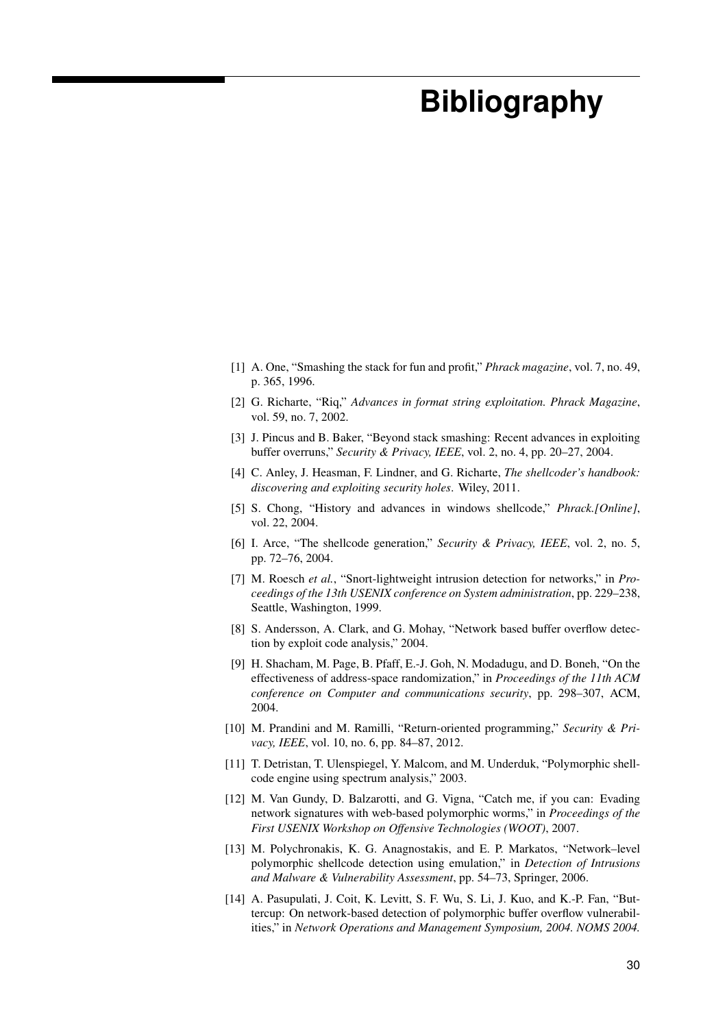## <span id="page-30-0"></span>**Bibliography**

- <span id="page-30-1"></span>[1] A. One, "Smashing the stack for fun and profit," *Phrack magazine*, vol. 7, no. 49, p. 365, 1996.
- [2] G. Richarte, "Riq," *Advances in format string exploitation. Phrack Magazine*, vol. 59, no. 7, 2002.
- [3] J. Pincus and B. Baker, "Beyond stack smashing: Recent advances in exploiting buffer overruns," *Security & Privacy, IEEE*, vol. 2, no. 4, pp. 20–27, 2004.
- <span id="page-30-2"></span>[4] C. Anley, J. Heasman, F. Lindner, and G. Richarte, *The shellcoder's handbook: discovering and exploiting security holes*. Wiley, 2011.
- <span id="page-30-3"></span>[5] S. Chong, "History and advances in windows shellcode," *Phrack.[Online]*, vol. 22, 2004.
- <span id="page-30-4"></span>[6] I. Arce, "The shellcode generation," *Security & Privacy, IEEE*, vol. 2, no. 5, pp. 72–76, 2004.
- <span id="page-30-5"></span>[7] M. Roesch *et al.*, "Snort-lightweight intrusion detection for networks," in *Proceedings of the 13th USENIX conference on System administration*, pp. 229–238, Seattle, Washington, 1999.
- <span id="page-30-6"></span>[8] S. Andersson, A. Clark, and G. Mohay, "Network based buffer overflow detection by exploit code analysis," 2004.
- <span id="page-30-7"></span>[9] H. Shacham, M. Page, B. Pfaff, E.-J. Goh, N. Modadugu, and D. Boneh, "On the effectiveness of address-space randomization," in *Proceedings of the 11th ACM conference on Computer and communications security*, pp. 298–307, ACM, 2004.
- <span id="page-30-8"></span>[10] M. Prandini and M. Ramilli, "Return-oriented programming," *Security & Privacy, IEEE*, vol. 10, no. 6, pp. 84–87, 2012.
- <span id="page-30-9"></span>[11] T. Detristan, T. Ulenspiegel, Y. Malcom, and M. Underduk, "Polymorphic shellcode engine using spectrum analysis," 2003.
- <span id="page-30-10"></span>[12] M. Van Gundy, D. Balzarotti, and G. Vigna, "Catch me, if you can: Evading network signatures with web-based polymorphic worms," in *Proceedings of the First USENIX Workshop on Offensive Technologies (WOOT)*, 2007.
- <span id="page-30-11"></span>[13] M. Polychronakis, K. G. Anagnostakis, and E. P. Markatos, "Network–level polymorphic shellcode detection using emulation," in *Detection of Intrusions and Malware & Vulnerability Assessment*, pp. 54–73, Springer, 2006.
- <span id="page-30-12"></span>[14] A. Pasupulati, J. Coit, K. Levitt, S. F. Wu, S. Li, J. Kuo, and K.-P. Fan, "Buttercup: On network-based detection of polymorphic buffer overflow vulnerabilities," in *Network Operations and Management Symposium, 2004. NOMS 2004.*